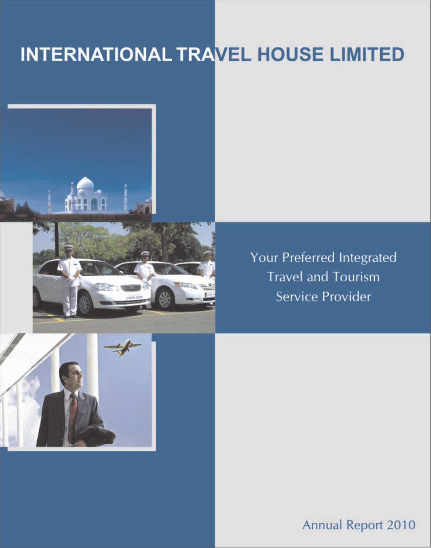# INTERNATIONAL TRAVEL HOUSE LIMITED



Your Preferred Integrated **Travel and Tourism** Service Provider



**Annual Report 2010**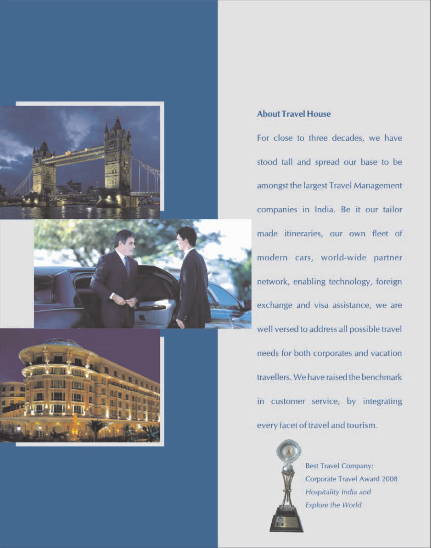



# **About Travel House**

For close to three decades, we have stood tall and spread our base to be amongst the largest Travel Management companies in India. Be it our tailor made itineraries, our own fleet of modern cars, world-wide partner network, enabling technology, foreign exchange and visa assistance, we are well versed to address all possible travel needs for both corporates and vacation travellers. We have raised the benchmark in customer service, by integrating every facet of travel and tourism.



**Best Travel Company:** Corporate Travel Award 2008 Hospitality India and **Explore the World**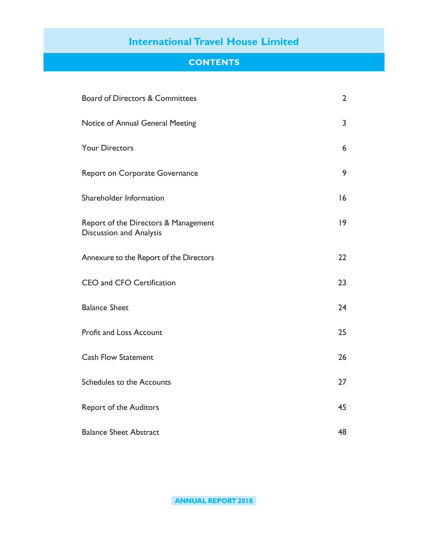# **CONTENTS**

| <b>Board of Directors &amp; Committees</b>                             | $\overline{2}$ |
|------------------------------------------------------------------------|----------------|
| Notice of Annual General Meeting                                       | 3              |
| <b>Your Directors</b>                                                  | 6              |
| <b>Report on Corporate Governance</b>                                  | 9              |
| Shareholder Information                                                | 16             |
| Report of the Directors & Management<br><b>Discussion and Analysis</b> | 9              |
| Annexure to the Report of the Directors                                | 22             |
| CEO and CFO Certification                                              | 23             |
| <b>Balance Sheet</b>                                                   | 24             |
| <b>Profit and Loss Account</b>                                         | 25             |
| <b>Cash Flow Statement</b>                                             | 26             |
| Schedules to the Accounts                                              | 27             |
| <b>Report of the Auditors</b>                                          | 45             |
| <b>Balance Sheet Abstract</b>                                          | 48             |

**ANNUAL REPORT 2010**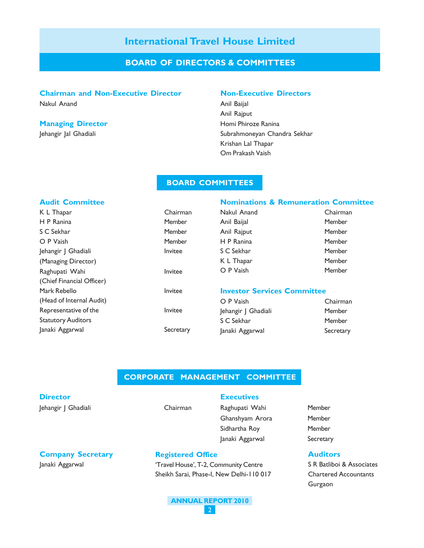## **BOARD OF DIRECTORS & COMMITTEES**

#### **Chairman and Non-Executive Director Non-Executive Directors**

#### **Managing Director Managing Director Homi Phiroze Ranina**

Nakul Anand **Anil Baijal** Anil Rajput Jehangir Jal Ghadiali Subrahmoneyan Chandra Sekhar Krishan Lal Thapar Om Prakash Vaish

### **BOARD COMMITTEES**

#### **Audit Committee**

| K L Thapar<br>Chairman    |           | Nakul Anand                        | Chairma  |
|---------------------------|-----------|------------------------------------|----------|
| H P Ranina<br>Member      |           | Anil Baijal                        | Member   |
| S C Sekhar                | Member    | Anil Rajput                        | Member   |
| O P Vaish                 | Member    | H P Ranina                         | Member   |
| Jehangir J Ghadiali       | Invitee   | S C Sekhar                         | Member   |
| (Managing Director)       |           | K L Thapar                         | Member   |
| Raghupati Wahi            | Invitee   | O P Vaish                          | Member   |
| (Chief Financial Officer) |           |                                    |          |
| Mark Rebello              | Invitee   | <b>Investor Services Committee</b> |          |
| (Head of Internal Audit)  |           | O P Vaish                          | Chairma  |
| Representative of the     | Invitee   | Jehangir   Ghadiali                | Member   |
| <b>Statutory Auditors</b> |           | S C Sekhar                         | Member   |
| Janaki Aggarwal           | Secretary | Janaki Aggarwal                    | Secretar |

### **Nominations & Remuneration Committee**

| Chairman |
|----------|
| Member   |
| Member   |
| Member   |
| Member   |
| Member   |
| Member   |
|          |

#### **Committee**

| O P Vaish           | Chairman  |
|---------------------|-----------|
| Jehangir J Ghadiali | Member    |
| S C Sekhar          | Member    |
| Janaki Aggarwal     | Secretary |

#### **CORPORATE MANAGEMENT COMMITTEE**

# **Director**

Jehangir J Ghadiali **Chairman** 

**Company Secretary** Janaki Aggarwal

**Registered Office**

### **Executives**

- Raghupati Wahi Member Ghanshyam Arora Member Sidhartha Roy Member Janaki Aggarwal Secretary
- 

#### **Auditors**

S R Batliboi & Associates Chartered Accountants Gurgaon

#### **ANNUAL REPORT 2010** 2

'Travel House', T-2, Community Centre Sheikh Sarai, Phase-I, New Delhi-110 017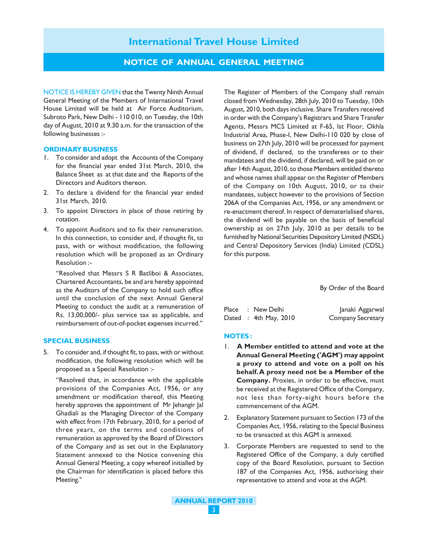### **NOTICE OF ANNUAL GENERAL MEETING**

NOTICE IS HEREBY GIVEN that the Twenty Ninth Annual General Meeting of the Members of International Travel House Limited will be held at Air Force Auditorium, Subroto Park, New Delhi - 110 010, on Tuesday, the 10th day of August, 2010 at 9.30 a.m. for the transaction of the following businesses :-

#### **ORDINARY BUSINESS**

- 1. To consider and adopt the Accounts of the Company for the financial year ended 31st March, 2010, the Balance Sheet as at that date and the Reports of the Directors and Auditors thereon.
- 2. To declare a dividend for the financial year ended 31st March, 2010.
- 3. To appoint Directors in place of those retiring by rotation.
- 4. To appoint Auditors and to fix their remuneration. In this connection, to consider and, if thought fit, to pass, with or without modification, the following resolution which will be proposed as an Ordinary Resolution :-

"Resolved that Messrs S R Batliboi & Associates, Chartered Accountants, be and are hereby appointed as the Auditors of the Company to hold such office until the conclusion of the next Annual General Meeting to conduct the audit at a remuneration of Rs. 13,00,000/- plus service tax as applicable, and reimbursement of out-of-pocket expenses incurred."

#### **SPECIAL BUSINESS**

5. To consider and, if thought fit, to pass, with or without modification, the following resolution which will be proposed as a Special Resolution :-

"Resolved that, in accordance with the applicable provisions of the Companies Act, 1956, or any amendment or modification thereof, this Meeting hereby approves the appointment of Mr Jehangir Jal Ghadiali as the Managing Director of the Company with effect from 17th February, 2010, for a period of three years, on the terms and conditions of remuneration as approved by the Board of Directors of the Company and as set out in the Explanatory Statement annexed to the Notice convening this Annual General Meeting, a copy whereof initialled by the Chairman for identification is placed before this Meeting."

The Register of Members of the Company shall remain closed from Wednesday, 28th July, 2010 to Tuesday, 10th August, 2010, both days inclusive. Share Transfers received in order with the Company's Registrars and Share Transfer Agents, Messrs MCS Limited at F-65, Ist Floor, Okhla Industrial Area, Phase-I, New Delhi-110 020 by close of business on 27th July, 2010 will be processed for payment of dividend, if declared, to the transferees or to their mandatees and the dividend, if declared, will be paid on or after 14th August, 2010, to those Members entitled thereto and whose names shall appear on the Register of Members of the Company on 10th August, 2010, or to their mandatees, subject however to the provisions of Section 206A of the Companies Act, 1956, or any amendment or re-enactment thereof. In respect of dematerialised shares, the dividend will be payable on the basis of beneficial ownership as on 27th July, 2010 as per details to be furnished by National Securities Depository Limited (NSDL) and Central Depository Services (India) Limited (CDSL) for this purpose.

By Order of the Board

|  | Place : New Delhi       | Janaki Aggarwal          |
|--|-------------------------|--------------------------|
|  | Dated : $4th$ May, 2010 | <b>Company Secretary</b> |

#### **NOTES :**

- 1. **A Member entitled to attend and vote at the Annual General Meeting ('AGM') may appoint a proxy to attend and vote on a poll on his behalf. A proxy need not be a Member of the Company.** Proxies, in order to be effective, must be received at the Registered Office of the Company, not less than forty-eight hours before the commencement of the AGM.
- 2. Explanatory Statement pursuant to Section 173 of the Companies Act, 1956, relating to the Special Business to be transacted at this AGM is annexed.
- 3. Corporate Members are requested to send to the Registered Office of the Company, a duly certified copy of the Board Resolution, pursuant to Section 187 of the Companies Act, 1956, authorising their representative to attend and vote at the AGM.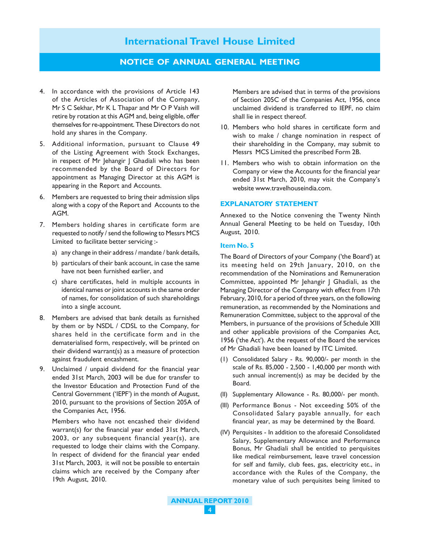### **NOTICE OF ANNUAL GENERAL MEETING**

- 4. In accordance with the provisions of Article 143 of the Articles of Association of the Company, Mr S C Sekhar, Mr K L Thapar and Mr O P Vaish will retire by rotation at this AGM and, being eligible, offer themselves for re-appointment. These Directors do not hold any shares in the Company.
- 5. Additional information, pursuant to Clause 49 of the Listing Agreement with Stock Exchanges, in respect of Mr Jehangir J Ghadiali who has been recommended by the Board of Directors for appointment as Managing Director at this AGM is appearing in the Report and Accounts.
- 6. Members are requested to bring their admission slips along with a copy of the Report and Accounts to the AGM.
- 7. Members holding shares in certificate form are requested to notify / send the following to Messrs MCS Limited to facilitate better servicing :
	- a) any change in their address / mandate / bank details,
	- b) particulars of their bank account, in case the same have not been furnished earlier, and
	- c) share certificates, held in multiple accounts in identical names or joint accounts in the same order of names, for consolidation of such shareholdings into a single account.
- 8. Members are advised that bank details as furnished by them or by NSDL / CDSL to the Company, for shares held in the certificate form and in the dematerialised form, respectively, will be printed on their dividend warrant(s) as a measure of protection against fraudulent encashment.
- 9. Unclaimed / unpaid dividend for the financial year ended 31st March, 2003 will be due for transfer to the Investor Education and Protection Fund of the Central Government ('IEPF') in the month of August, 2010, pursuant to the provisions of Section 205A of the Companies Act, 1956.

Members who have not encashed their dividend warrant(s) for the financial year ended 31st March, 2003, or any subsequent financial year(s), are requested to lodge their claims with the Company. In respect of dividend for the financial year ended 31st March, 2003, it will not be possible to entertain claims which are received by the Company after 19th August, 2010.

Members are advised that in terms of the provisions of Section 205C of the Companies Act, 1956, once unclaimed dividend is transferred to IEPF, no claim shall lie in respect thereof.

- 10. Members who hold shares in certificate form and wish to make / change nomination in respect of their shareholding in the Company, may submit to Messrs MCS Limited the prescribed Form 2B.
- 11. Members who wish to obtain information on the Company or view the Accounts for the financial year ended 31st March, 2010, may visit the Company's website www.travelhouseindia.com.

#### **EXPLANATORY STATEMENT**

Annexed to the Notice convening the Twenty Ninth Annual General Meeting to be held on Tuesday, 10th August, 2010.

#### **Item No. 5**

The Board of Directors of your Company ('the Board') at its meeting held on 29th January, 2010, on the recommendation of the Nominations and Remuneration Committee, appointed Mr Jehangir J Ghadiali, as the Managing Director of the Company with effect from 17th February, 2010, for a period of three years, on the following remuneration, as recommended by the Nominations and Remuneration Committee, subject to the approval of the Members, in pursuance of the provisions of Schedule XIII and other applicable provisions of the Companies Act, 1956 ('the Act'). At the request of the Board the services of Mr Ghadiali have been loaned by ITC Limited.

- (1) Consolidated Salary Rs. 90,000/- per month in the scale of Rs. 85,000 - 2,500 - 1,40,000 per month with such annual increment(s) as may be decided by the Board.
- (II) Supplementary Allowance Rs. 80,000/- per month.
- (III) Performance Bonus Not exceeding 50% of the Consolidated Salary payable annually, for each financial year, as may be determined by the Board.
- (IV) Perquisites In addition to the aforesaid Consolidated Salary, Supplementary Allowance and Performance Bonus, Mr Ghadiali shall be entitled to perquisites like medical reimbursement, leave travel concession for self and family, club fees, gas, electricity etc., in accordance with the Rules of the Company, the monetary value of such perquisites being limited to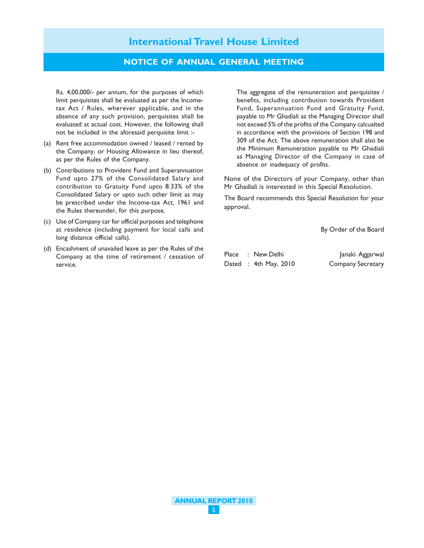## **NOTICE OF ANNUAL GENERAL MEETING**

Rs. 4,00,000/- per annum, for the purposes of which limit perquisites shall be evaluated as per the Incometax Act / Rules, wherever applicable, and in the absence of any such provision, perquisites shall be evaluated at actual cost. However, the following shall not be included in the aforesaid perquisite limit :-

- (a) Rent free accommodation owned / leased / rented by the Company, or Housing Allowance in lieu thereof, as per the Rules of the Company.
- (b) Contributions to Provident Fund and Superannuation Fund upto 27% of the Consolidated Salary and contribution to Gratuity Fund upto 8.33% of the Consolidated Salary or upto such other limit as may be prescribed under the Income-tax Act, 1961 and the Rules thereunder, for this purpose.
- (c) Use of Company car for official purposes and telephone at residence (including payment for local calls and long distance official calls).
- (d) Encashment of unavailed leave as per the Rules of the Company at the time of retirement / cessation of service.

The aggregate of the remuneration and perquisites / benefits, including contribution towards Provident Fund, Superannuation Fund and Gratuity Fund, payable to Mr Ghadiali as the Managing Director shall not exceed 5% of the profits of the Company calcualted in accordance with the provisions of Section 198 and 309 of the Act. The above remuneration shall also be the Minimum Remuneration payable to Mr Ghadiali as Managing Director of the Company in case of absence or inadequacy of profits.

None of the Directors of your Company, other than Mr Ghadiali is interested in this Special Resolution.

The Board recommends this Special Resolution for your approval.

By Order of the Board

|  | Place : New Delhi       | Janaki Aggarwal          |
|--|-------------------------|--------------------------|
|  | Dated : $4th$ May, 2010 | <b>Company Secretary</b> |

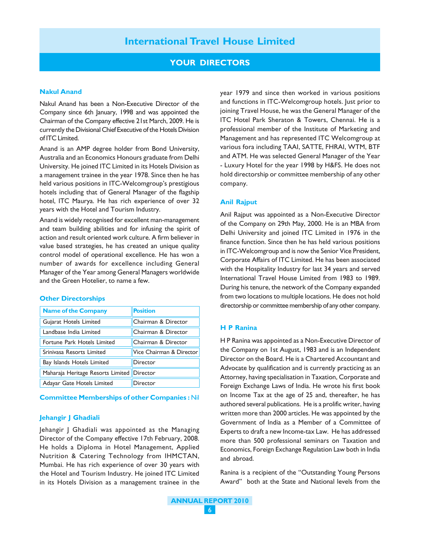### **YOUR DIRECTORS**

#### **Nakul Anand**

Nakul Anand has been a Non-Executive Director of the Company since 6th January, 1998 and was appointed the Chairman of the Company effective 21st March, 2009. He is currently the Divisional Chief Executive of the Hotels Division of ITC Limited.

Anand is an AMP degree holder from Bond University, Australia and an Economics Honours graduate from Delhi University. He joined ITC Limited in its Hotels Division as a management trainee in the year 1978. Since then he has held various positions in ITC-Welcomgroup's prestigious hotels including that of General Manager of the flagship hotel, ITC Maurya. He has rich experience of over 32 years with the Hotel and Tourism Industry.

Anand is widely recognised for excellent man-management and team building abilities and for infusing the spirit of action and result oriented work culture. A firm believer in value based strategies, he has created an unique quality control model of operational excellence. He has won a number of awards for excellence including General Manager of the Year among General Managers worldwide and the Green Hotelier, to name a few.

#### **Other Directorships**

| <b>Name of the Company</b>                 | <b>Position</b>          |
|--------------------------------------------|--------------------------|
| Gujarat Hotels Limited                     | Chairman & Director      |
| Landbase India Limited                     | Chairman & Director      |
| Fortune Park Hotels Limited                | Chairman & Director      |
| Srinivasa Resorts Limited                  | Vice Chairman & Director |
| Bay Islands Hotels Limited                 | Director                 |
| Maharaja Heritage Resorts Limited Director |                          |
| Adayar Gate Hotels Limited                 | Director                 |

#### **Committee Memberships of other Companies :** Nil

#### **Jehangir J Ghadiali**

Jehangir J Ghadiali was appointed as the Managing Director of the Company effective 17th February, 2008. He holds a Diploma in Hotel Management, Applied Nutrition & Catering Technology from IHMCTAN, Mumbai. He has rich experience of over 30 years with the Hotel and Tourism Industry. He joined ITC Limited in its Hotels Division as a management trainee in the

year 1979 and since then worked in various positions and functions in ITC-Welcomgroup hotels. Just prior to joining Travel House, he was the General Manager of the ITC Hotel Park Sheraton & Towers, Chennai. He is a professional member of the Institute of Marketing and Management and has represented ITC Welcomgroup at various fora including TAAI, SATTE, FHRAI, WTM, BTF and ATM. He was selected General Manager of the Year - Luxury Hotel for the year 1998 by H&FS. He does not hold directorship or committee membership of any other company.

#### **Anil Rajput**

Anil Rajput was appointed as a Non-Executive Director of the Company on 29th May, 2000. He is an MBA from Delhi University and joined ITC Limited in 1976 in the finance function. Since then he has held various positions in ITC-Welcomgroup and is now the Senior Vice President, Corporate Affairs of ITC Limited. He has been associated with the Hospitality Industry for last 34 years and served International Travel House Limited from 1983 to 1989. During his tenure, the network of the Company expanded from two locations to multiple locations. He does not hold directorship or committee membership of any other company.

#### **H P Ranina**

H P Ranina was appointed as a Non-Executive Director of the Company on 1st August, 1983 and is an Independent Director on the Board. He is a Chartered Accountant and Advocate by qualification and is currently practicing as an Attorney, having specialisation in Taxation, Corporate and Foreign Exchange Laws of India. He wrote his first book on Income Tax at the age of 25 and, thereafter, he has authored several publications. He is a prolific writer, having written more than 2000 articles. He was appointed by the Government of India as a Member of a Committee of Experts to draft a new Income-tax Law. He has addressed more than 500 professional seminars on Taxation and Economics, Foreign Exchange Regulation Law both in India and abroad.

Ranina is a recipient of the "Outstanding Young Persons Award" both at the State and National levels from the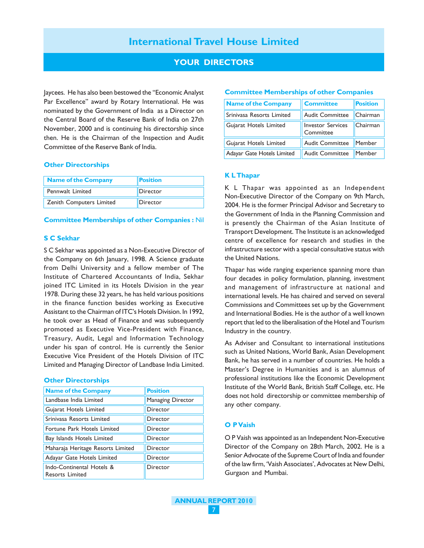## **YOUR DIRECTORS**

Jaycees. He has also been bestowed the "Economic Analyst Par Excellence" award by Rotary International. He was nominated by the Government of India as a Director on the Central Board of the Reserve Bank of India on 27th November, 2000 and is continuing his directorship since then. He is the Chairman of the Inspection and Audit Committee of the Reserve Bank of India.

#### **Other Directorships**

| <b>Name of the Company</b> | <b>Position</b> |
|----------------------------|-----------------|
| Pennwalt Limited           | Director        |
| Zenith Computers Limited   | Director        |

#### **Committee Memberships of other Companies :** Nil

#### **S C Sekhar**

S C Sekhar was appointed as a Non-Executive Director of the Company on 6th January, 1998. A Science graduate from Delhi University and a fellow member of The Institute of Chartered Accountants of India, Sekhar joined ITC Limited in its Hotels Division in the year 1978. During these 32 years, he has held various positions in the finance function besides working as Executive Assistant to the Chairman of ITC's Hotels Division. In 1992, he took over as Head of Finance and was subsequently promoted as Executive Vice-President with Finance, Treasury, Audit, Legal and Information Technology under his span of control. He is currently the Senior Executive Vice President of the Hotels Division of ITC Limited and Managing Director of Landbase India Limited.

#### **Other Directorships**

| <b>Name of the Company</b>                          | <b>Position</b>   |
|-----------------------------------------------------|-------------------|
| Landbase India Limited                              | Managing Director |
| Gujarat Hotels Limited                              | Director          |
| Srinivasa Resorts Limited                           | Director          |
| Fortune Park Hotels Limited                         | Director          |
| Bay Islands Hotels Limited                          | Director          |
| Maharaja Heritage Resorts Limited                   | Director          |
| Adayar Gate Hotels Limited                          | Director          |
| Indo-Continental Hotels &<br><b>Resorts Limited</b> | Director          |

#### **Committee Memberships of other Companies**

| <b>Name of the Company</b> | <b>Committee</b>                      | <b>Position</b> |
|----------------------------|---------------------------------------|-----------------|
| Srinivasa Resorts Limited  | <b>Audit Committee</b>                | Chairman        |
| Gujarat Hotels Limited     | <b>Investor Services</b><br>Committee | Chairman        |
| Gujarat Hotels Limited     | <b>Audit Committee</b>                | Member          |
| Adayar Gate Hotels Limited | <b>Audit Committee</b>                | Member          |

#### **K L Thapar**

K L Thapar was appointed as an Independent Non-Executive Director of the Company on 9th March, 2004. He is the former Principal Advisor and Secretary to the Government of India in the Planning Commission and is presently the Chairman of the Asian Institute of Transport Development. The Institute is an acknowledged centre of excellence for research and studies in the infrastructure sector with a special consultative status with the United Nations.

Thapar has wide ranging experience spanning more than four decades in policy formulation, planning, investment and management of infrastructure at national and international levels. He has chaired and served on several Commissions and Committees set up by the Government and International Bodies. He is the author of a well known report that led to the liberalisation of the Hotel and Tourism Industry in the country.

As Adviser and Consultant to international institutions such as United Nations, World Bank, Asian Development Bank, he has served in a number of countries. He holds a Master's Degree in Humanities and is an alumnus of professional institutions like the Economic Development Institute of the World Bank, British Staff College, etc. He does not hold directorship or committee membership of any other company.

#### **O P Vaish**

O P Vaish was appointed as an Independent Non-Executive Director of the Company on 28th March, 2002. He is a Senior Advocate of the Supreme Court of India and founder of the law firm, 'Vaish Associates', Advocates at New Delhi, Gurgaon and Mumbai.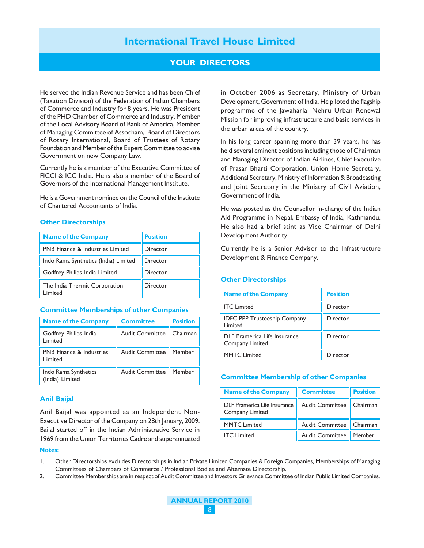### **YOUR DIRECTORS**

He served the Indian Revenue Service and has been Chief (Taxation Division) of the Federation of Indian Chambers of Commerce and Industry for 8 years. He was President of the PHD Chamber of Commerce and Industry, Member of the Local Advisory Board of Bank of America, Member of Managing Committee of Assocham, Board of Directors of Rotary International, Board of Trustees of Rotary Foundation and Member of the Expert Committee to advise Government on new Company Law.

Currently he is a member of the Executive Committee of FICCI & ICC India. He is also a member of the Board of Governors of the International Management Institute.

He is a Government nominee on the Council of the Institute of Chartered Accountants of India.

#### **Other Directorships**

| <b>Name of the Company</b>                  | <b>Position</b> |
|---------------------------------------------|-----------------|
| <b>PNB Finance &amp; Industries Limited</b> | Director        |
| Indo Rama Synthetics (India) Limited        | Director        |
| Godfrey Philips India Limited               | Director        |
| The India Thermit Corporation<br>Limited    | Director        |

#### **Committee Memberships of other Companies**

| <b>Name of the Company</b>                 | <b>Committee</b>       | <b>Position</b> |
|--------------------------------------------|------------------------|-----------------|
| Godfrey Philips India<br>Limited           | <b>Audit Committee</b> | Chairman        |
| <b>PNB</b> Finance & Industries<br>Limited | <b>Audit Committee</b> | Member          |
| Indo Rama Synthetics<br>(India) Limited    | <b>Audit Committee</b> | Member          |

#### **Anil Baijal**

Anil Baijal was appointed as an Independent Non-Executive Director of the Company on 28th January, 2009. Baijal started off in the Indian Administrative Service in 1969 from the Union Territories Cadre and superannuated

#### **Notes:**

in October 2006 as Secretary, Ministry of Urban Development, Government of India. He piloted the flagship programme of the Jawaharlal Nehru Urban Renewal Mission for improving infrastructure and basic services in the urban areas of the country.

In his long career spanning more than 39 years, he has held several eminent positions including those of Chairman and Managing Director of Indian Airlines, Chief Executive of Prasar Bharti Corporation, Union Home Secretary, Additional Secretary, Ministry of Information & Broadcasting and Joint Secretary in the Ministry of Civil Aviation, Government of India.

He was posted as the Counsellor in-charge of the Indian Aid Programme in Nepal, Embassy of India, Kathmandu. He also had a brief stint as Vice Chairman of Delhi Development Authority.

Currently he is a Senior Advisor to the Infrastructure Development & Finance Company.

**Other Directorships**

# **Name of the Company Position ITC Limited Contract Contract Contract Contract Contract Contract Contract Contract Contract Contract Contract Contract Contract Contract Contract Contract Contract Contract Contract Contract Contract Contract Contract Co** IDFC PPP Trusteeship Company | Director Limited DLF Pramerica Life Insurance **DI** Director Company Limited MMTC Limited Director

#### **Committee Membership of other Companies**

| <b>Name of the Company</b>                      | <b>Committee</b>       | <b>Position</b> |
|-------------------------------------------------|------------------------|-----------------|
| DLF Pramerica Life Insurance<br>Company Limited | <b>Audit Committee</b> | Chairman        |
| <b>MMTC Limited</b>                             | <b>Audit Committee</b> | $\mid$ Chairman |
| <b>ITC</b> Limited                              | <b>Audit Committee</b> | Member          |

1. Other Directorships excludes Directorships in Indian Private Limited Companies & Foreign Companies, Memberships of Managing Committees of Chambers of Commerce / Professional Bodies and Alternate Directorship.

2. Committee Memberships are in respect of Audit Committee and Investors Grievance Committee of Indian Public Limited Companies.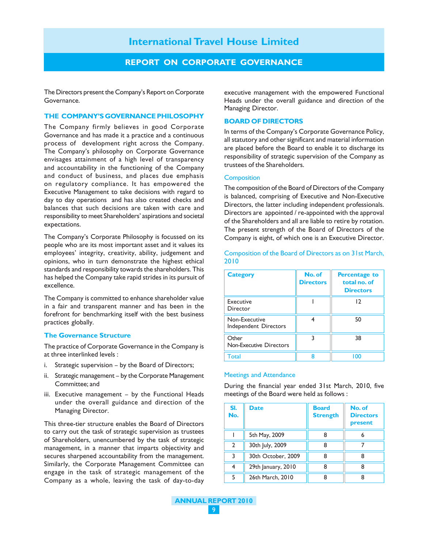### **REPORT ON CORPORATE GOVERNANCE**

The Directors present the Company's Report on Corporate Governance.

#### **THE COMPANY'S GOVERNANCE PHILOSOPHY**

The Company firmly believes in good Corporate Governance and has made it a practice and a continuous process of development right across the Company. The Company's philosophy on Corporate Governance envisages attainment of a high level of transparency and accountability in the functioning of the Company and conduct of business, and places due emphasis on regulatory compliance. It has empowered the Executive Management to take decisions with regard to day to day operations and has also created checks and balances that such decisions are taken with care and responsibility to meet Shareholders' aspirations and societal expectations.

The Company's Corporate Philosophy is focussed on its people who are its most important asset and it values its employees' integrity, creativity, ability, judgement and opinions, who in turn demonstrate the highest ethical standards and responsibility towards the shareholders. This has helped the Company take rapid strides in its pursuit of excellence.

The Company is committed to enhance shareholder value in a fair and transparent manner and has been in the forefront for benchmarking itself with the best business practices globally.

#### **The Governance Structure**

The practice of Corporate Governance in the Company is at three interlinked levels :

- i. Strategic supervision by the Board of Directors;
- ii. Strategic management by the Corporate Management Committee; and
- iii. Executive management by the Functional Heads under the overall guidance and direction of the Managing Director.

This three-tier structure enables the Board of Directors to carry out the task of strategic supervision as trustees of Shareholders, unencumbered by the task of strategic management, in a manner that imparts objectivity and secures sharpened accountability from the management. Similarly, the Corporate Management Committee can engage in the task of strategic management of the Company as a whole, leaving the task of day-to-day

executive management with the empowered Functional Heads under the overall guidance and direction of the Managing Director.

#### **BOARD OF DIRECTORS**

In terms of the Company's Corporate Governance Policy, all statutory and other significant and material information are placed before the Board to enable it to discharge its responsibility of strategic supervision of the Company as trustees of the Shareholders.

#### **Composition**

The composition of the Board of Directors of the Company is balanced, comprising of Executive and Non-Executive Directors, the latter including independent professionals. Directors are appointed / re-appointed with the approval of the Shareholders and all are liable to retire by rotation. The present strength of the Board of Directors of the Company is eight, of which one is an Executive Director.

Composition of the Board of Directors as on 31st March, 2010

| <b>Category</b>                         | No. of<br><b>Directors</b> | <b>Percentage to</b><br>total no. of<br><b>Directors</b> |
|-----------------------------------------|----------------------------|----------------------------------------------------------|
| Executive<br>Director                   |                            | 12                                                       |
| Non-Executive<br>Independent Directors  |                            | 50                                                       |
| Other<br><b>Non-Executive Directors</b> |                            | 38                                                       |
| Total                                   |                            | 00 ا                                                     |

#### Meetings and Attendance

During the financial year ended 31st March, 2010, five meetings of the Board were held as follows :

| SI.<br>No.     | <b>Date</b>        | <b>Board</b><br><b>Strength</b> | No. of<br><b>Directors</b><br>present |
|----------------|--------------------|---------------------------------|---------------------------------------|
|                | 5th May, 2009      |                                 |                                       |
| $\mathfrak{p}$ | 30th July, 2009    | 8                               |                                       |
| २              | 30th October, 2009 | 8                               |                                       |
|                | 29th January, 2010 |                                 |                                       |
|                | 26th March, 2010   | Զ                               |                                       |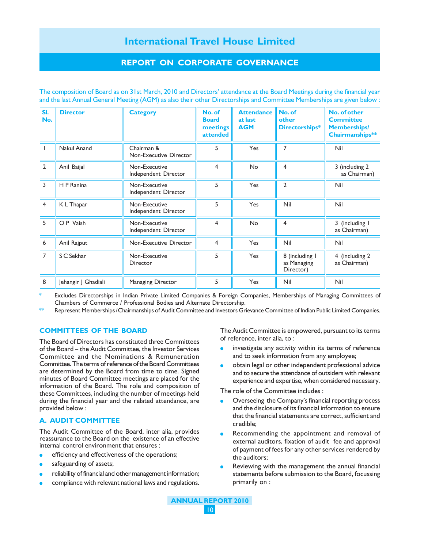# **REPORT ON CORPORATE GOVERNANCE**

| SI.<br>No.     | <b>Director</b>     | <b>Category</b>                       | No. of<br><b>Board</b><br>meetings<br>attended | <b>Attendance</b><br>at last<br><b>AGM</b> | No. of<br>other<br>Directorships*          | No. of other<br><b>Committee</b><br><b>Memberships/</b><br>Chairmanships** |
|----------------|---------------------|---------------------------------------|------------------------------------------------|--------------------------------------------|--------------------------------------------|----------------------------------------------------------------------------|
|                | <b>Nakul Anand</b>  | Chairman &<br>Non-Executive Director  | 5                                              | Yes                                        | $\overline{7}$                             | Nil                                                                        |
| $\overline{2}$ | Anil Baijal         | Non-Executive<br>Independent Director | 4                                              | <b>No</b>                                  | $\overline{4}$                             | 3 (including 2)<br>as Chairman)                                            |
| 3              | H P Ranina          | Non-Executive<br>Independent Director | 5                                              | Yes                                        | $\overline{2}$                             | Nil                                                                        |
| 4              | K L Thapar          | Non-Executive<br>Independent Director | 5                                              | Yes                                        | Nil                                        | Nil                                                                        |
| 5              | OP Vaish            | Non-Executive<br>Independent Director | 4                                              | <b>No</b>                                  | $\overline{4}$                             | 3 (including I<br>as Chairman)                                             |
| 6              | Anil Rajput         | Non-Executive Director                | $\overline{4}$                                 | Yes                                        | Nil                                        | Nil                                                                        |
| $\overline{7}$ | S C Sekhar          | Non-Executive<br>Director             | 5                                              | Yes                                        | 8 (including I<br>as Managing<br>Director) | 4 (including 2<br>as Chairman)                                             |
| 8              | Jehangir J Ghadiali | Managing Director                     | 5                                              | Yes                                        | Nil                                        | Nil                                                                        |

The composition of Board as on 31st March, 2010 and Directors' attendance at the Board Meetings during the financial year and the last Annual General Meeting (AGM) as also their other Directorships and Committee Memberships are given below :

Excludes Directorships in Indian Private Limited Companies & Foreign Companies, Memberships of Managing Committees of Chambers of Commerce / Professional Bodies and Alternate Directorship.

Represent Memberships / Chairmanships of Audit Committee and Investors Grievance Committee of Indian Public Limited Companies.

#### **COMMITTEES OF THE BOARD**

The Board of Directors has constituted three Committees of the Board – the Audit Committee, the Investor Services Committee and the Nominations & Remuneration Committee. The terms of reference of the Board Committees are determined by the Board from time to time. Signed minutes of Board Committee meetings are placed for the information of the Board. The role and composition of these Committees, including the number of meetings held during the financial year and the related attendance, are provided below :

#### **A. AUDIT COMMITTEE**

The Audit Committee of the Board, inter alia, provides reassurance to the Board on the existence of an effective internal control environment that ensures :

- efficiency and effectiveness of the operations;
- safeguarding of assets;
- reliability of financial and other management information;
- compliance with relevant national laws and regulations.

The Audit Committee is empowered, pursuant to its terms of reference, inter alia, to :

- investigate any activity within its terms of reference and to seek information from any employee;
- obtain legal or other independent professional advice and to secure the attendance of outsiders with relevant experience and expertise, when considered necessary.

The role of the Committee includes :

- Overseeing the Company's financial reporting process and the disclosure of its financial information to ensure that the financial statements are correct, sufficient and credible;
- Recommending the appointment and removal of external auditors, fixation of audit fee and approval of payment of fees for any other services rendered by the auditors;
- Reviewing with the management the annual financial statements before submission to the Board, focussing primarily on :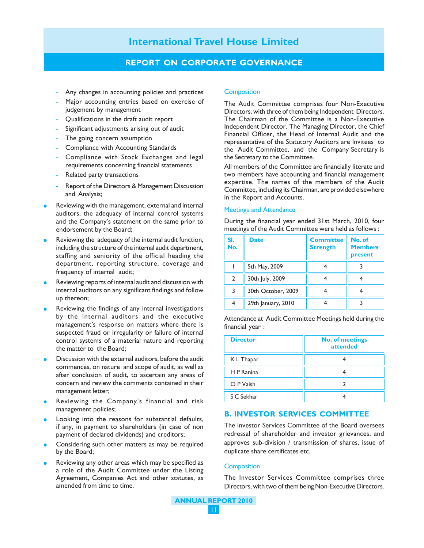### **REPORT ON CORPORATE GOVERNANCE**

- Any changes in accounting policies and practices
- Major accounting entries based on exercise of judgement by management
- Qualifications in the draft audit report
- Significant adjustments arising out of audit
- The going concern assumption
- Compliance with Accounting Standards
- Compliance with Stock Exchanges and legal requirements concerning financial statements
- Related party transactions
- Report of the Directors & Management Discussion and Analysis;
- Reviewing with the management, external and internal auditors, the adequacy of internal control systems and the Company's statement on the same prior to endorsement by the Board;
- Reviewing the adequacy of the internal audit function, including the structure of the internal audit department, staffing and seniority of the official heading the department, reporting structure, coverage and frequency of internal audit;
- Reviewing reports of internal audit and discussion with internal auditors on any significant findings and follow up thereon;
- Reviewing the findings of any internal investigations by the internal auditors and the executive management's response on matters where there is suspected fraud or irregularity or failure of internal control systems of a material nature and reporting the matter to the Board;
- Discussion with the external auditors, before the audit commences, on nature and scope of audit, as well as after conclusion of audit, to ascertain any areas of concern and review the comments contained in their management letter;
- Reviewing the Company's financial and risk management policies;
- Looking into the reasons for substantial defaults, if any, in payment to shareholders (in case of non payment of declared dividends) and creditors;
- Considering such other matters as may be required by the Board;
- Reviewing any other areas which may be specified as a role of the Audit Committee under the Listing Agreement, Companies Act and other statutes, as amended from time to time.

#### **Composition**

The Audit Committee comprises four Non-Executive Directors, with three of them being Independent Directors. The Chairman of the Committee is a Non-Executive Independent Director. The Managing Director, the Chief Financial Officer, the Head of Internal Audit and the representative of the Statutory Auditors are Invitees to the Audit Committee, and the Company Secretary is the Secretary to the Committee.

All members of the Committee are financially literate and two members have accounting and financial management expertise. The names of the members of the Audit Committee, including its Chairman, are provided elsewhere in the Report and Accounts.

#### Meetings and Attendance

During the financial year ended 31st March, 2010, four meetings of the Audit Committee were held as follows :

| SI.<br>No.     | <b>Date</b>        | <b>Committee</b><br><b>Strength</b> | No. of<br><b>Members</b><br>present |
|----------------|--------------------|-------------------------------------|-------------------------------------|
|                | 5th May, 2009      |                                     |                                     |
| $\mathfrak{p}$ | 30th July, 2009    |                                     |                                     |
| 3              | 30th October, 2009 |                                     |                                     |
|                | 29th January, 2010 |                                     |                                     |

Attendance at Audit Committee Meetings held during the financial year :

| <b>Director</b> | <b>No. of meetings</b><br>attended |
|-----------------|------------------------------------|
| K L Thapar      |                                    |
| H P Ranina      |                                    |
| O P Vaish       |                                    |
| S C Sekhar      |                                    |

#### **B. INVESTOR SERVICES COMMITTEE**

The Investor Services Committee of the Board oversees redressal of shareholder and investor grievances, and approves sub-division / transmission of shares, issue of duplicate share certificates etc.

#### **Composition**

The Investor Services Committee comprises three Directors, with two of them being Non-Executive Directors.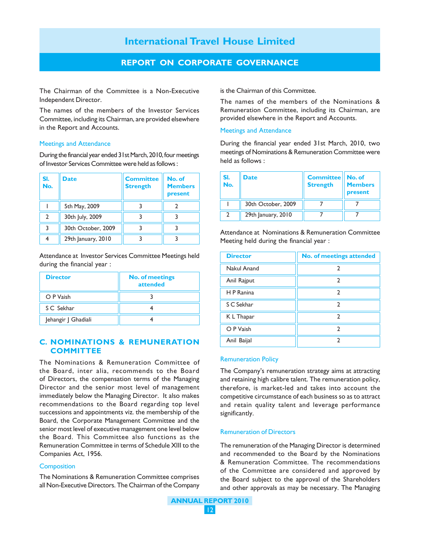# **REPORT ON CORPORATE GOVERNANCE**

The Chairman of the Committee is a Non-Executive Independent Director.

The names of the members of the Investor Services Committee, including its Chairman, are provided elsewhere in the Report and Accounts.

#### Meetings and Attendance

During the financial year ended 31st March, 2010, four meetings of Investor Services Committee were held as follows :

| SI.<br>No. | <b>Date</b>        | <b>Committee</b><br><b>Strength</b> | No. of<br><b>Members</b><br>present |
|------------|--------------------|-------------------------------------|-------------------------------------|
|            | 5th May, 2009      |                                     |                                     |
|            | 30th July, 2009    |                                     |                                     |
|            | 30th October, 2009 |                                     |                                     |
|            | 29th January, 2010 |                                     |                                     |

Attendance at Investor Services Committee Meetings held during the financial year :

| <b>Director</b>     | <b>No. of meetings</b><br>attended |
|---------------------|------------------------------------|
| O P Vaish           |                                    |
| S C Sekhar          |                                    |
| Jehangir J Ghadiali |                                    |

#### **C. NOMINATIONS & REMUNERATION COMMITTEE**

The Nominations & Remuneration Committee of the Board, inter alia, recommends to the Board of Directors, the compensation terms of the Managing Director and the senior most level of management immediately below the Managing Director. It also makes recommendations to the Board regarding top level successions and appointments viz. the membership of the Board, the Corporate Management Committee and the senior most level of executive management one level below the Board. This Committee also functions as the Remuneration Committee in terms of Schedule XIII to the Companies Act, 1956.

#### **Composition**

The Nominations & Remuneration Committee comprises all Non-Executive Directors. The Chairman of the Company is the Chairman of this Committee.

The names of the members of the Nominations & Remuneration Committee, including its Chairman, are provided elsewhere in the Report and Accounts.

#### Meetings and Attendance

During the financial year ended 31st March, 2010, two meetings of Nominations & Remuneration Committee were held as follows :

| SI.<br>No. | <b>Date</b>        | <b>Committee</b><br><b>Strength</b> | No. of<br><b>Members</b><br>present |
|------------|--------------------|-------------------------------------|-------------------------------------|
|            | 30th October, 2009 |                                     |                                     |
|            | 29th January, 2010 |                                     |                                     |

Attendance at Nominations & Remuneration Committee Meeting held during the financial year :

| <b>Director</b> | No. of meetings attended |
|-----------------|--------------------------|
| Nakul Anand     |                          |
| Anil Rajput     | າ                        |
| H P Ranina      | 2                        |
| S C Sekhar      | 2                        |
| K L Thapar      | 7                        |
| O P Vaish       | າ                        |
| Anil Baijal     | 2                        |

#### Remuneration Policy

The Company's remuneration strategy aims at attracting and retaining high calibre talent. The remuneration policy, therefore, is market-led and takes into account the competitive circumstance of each business so as to attract and retain quality talent and leverage performance significantly.

#### Remuneration of Directors

The remuneration of the Managing Director is determined and recommended to the Board by the Nominations & Remuneration Committee. The recommendations of the Committee are considered and approved by the Board subject to the approval of the Shareholders and other approvals as may be necessary. The Managing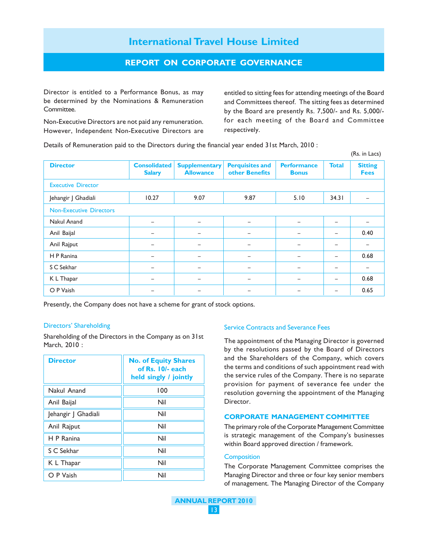# **REPORT ON CORPORATE GOVERNANCE**

Director is entitled to a Performance Bonus, as may be determined by the Nominations & Remuneration Committee.

Non-Executive Directors are not paid any remuneration. However, Independent Non-Executive Directors are

entitled to sitting fees for attending meetings of the Board and Committees thereof. The sitting fees as determined by the Board are presently Rs. 7,500/- and Rs. 5,000/ for each meeting of the Board and Committee respectively.

(Rs. in Lacs)

Details of Remuneration paid to the Directors during the financial year ended 31st March, 2010 :

|                                |                                      |                                          |                                          |                                    |              | $(113.11)$ Later              |
|--------------------------------|--------------------------------------|------------------------------------------|------------------------------------------|------------------------------------|--------------|-------------------------------|
| <b>Director</b>                | <b>Consolidated</b><br><b>Salary</b> | <b>Supplementary</b><br><b>Allowance</b> | <b>Perquisites and</b><br>other Benefits | <b>Performance</b><br><b>Bonus</b> | <b>Total</b> | <b>Sitting</b><br><b>Fees</b> |
| <b>Executive Director</b>      |                                      |                                          |                                          |                                    |              |                               |
| Jehangir J Ghadiali            | 10.27                                | 9.07                                     | 9.87                                     | 5.10                               | 34.31        |                               |
| <b>Non-Executive Directors</b> |                                      |                                          |                                          |                                    |              |                               |
| Nakul Anand                    | -                                    | -                                        | $\overline{\phantom{0}}$                 | -                                  | -            |                               |
| Anil Baijal                    | $\overline{\phantom{0}}$             | $\qquad \qquad -$                        | $\qquad \qquad$                          | -                                  | -            | 0.40                          |
| Anil Rajput                    | $\qquad \qquad -$                    | -                                        | $\overline{\phantom{0}}$                 | -                                  | -            | $\overline{\phantom{0}}$      |
| H P Ranina                     |                                      | -                                        | $\equiv$                                 |                                    | -            | 0.68                          |
| S C Sekhar                     |                                      | -                                        | $\overline{\phantom{0}}$                 |                                    |              |                               |
| K L Thapar                     | -                                    | -                                        | $\overline{\phantom{0}}$                 |                                    | -            | 0.68                          |
| O P Vaish                      |                                      |                                          |                                          |                                    |              | 0.65                          |

Presently, the Company does not have a scheme for grant of stock options.

#### Directors' Shareholding

Shareholding of the Directors in the Company as on 31st March, 2010 :

| <b>Director</b>     | <b>No. of Equity Shares</b><br>of Rs. 10/- each<br>held singly / jointly |
|---------------------|--------------------------------------------------------------------------|
| Nakul Anand         | 100                                                                      |
| Anil Baijal         | Nil                                                                      |
| Jehangir J Ghadiali | Nil                                                                      |
| Anil Rajput         | Nil                                                                      |
| H P Ranina          | Nil                                                                      |
| S C Sekhar          | Nil                                                                      |
| K L Thapar          | Nil                                                                      |
| O P Vaish           | Nil                                                                      |

#### Service Contracts and Severance Fees

The appointment of the Managing Director is governed by the resolutions passed by the Board of Directors and the Shareholders of the Company, which covers the terms and conditions of such appointment read with the service rules of the Company. There is no separate provision for payment of severance fee under the resolution governing the appointment of the Managing Director.

#### **CORPORATE MANAGEMENT COMMITTEE**

The primary role of the Corporate Management Committee is strategic management of the Company's businesses within Board approved direction / framework.

#### **Composition**

The Corporate Management Committee comprises the Managing Director and three or four key senior members of management. The Managing Director of the Company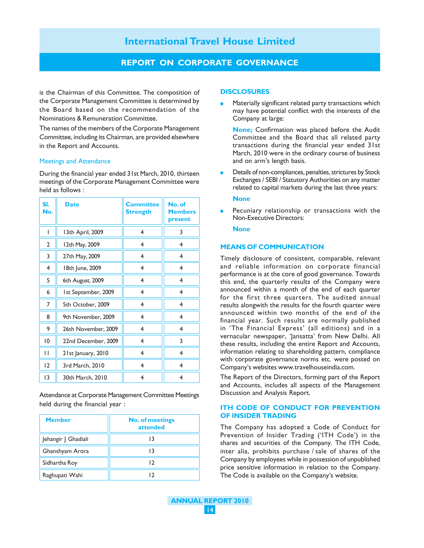# **REPORT ON CORPORATE GOVERNANCE**

is the Chairman of this Committee. The composition of the Corporate Management Committee is determined by the Board based on the recommendation of the Nominations & Remuneration Committee.

The names of the members of the Corporate Management Committee, including its Chairman, are provided elsewhere in the Report and Accounts.

#### Meetings and Attendance

During the financial year ended 31st March, 2010, thirteen meetings of the Corporate Management Committee were held as follows :

| SI.<br>No.      | <b>Date</b>         | <b>Committee</b><br><b>Strength</b> | No. of<br><b>Members</b><br>present |
|-----------------|---------------------|-------------------------------------|-------------------------------------|
| I               | 13th April, 2009    | $\overline{4}$                      | 3                                   |
| 2               | 12th May, 2009      | 4                                   | 4                                   |
| 3               | 27th May, 2009      | $\overline{4}$                      | 4                                   |
| $\overline{4}$  | 18th June, 2009     | 4                                   | $\overline{4}$                      |
| 5               | 6th August, 2009    | 4                                   | $\overline{4}$                      |
| 6               | Ist September, 2009 | 4                                   | $\overline{4}$                      |
| 7               | 5th October, 2009   | 4                                   | 4                                   |
| 8               | 9th November, 2009  | 4                                   | 4                                   |
| 9               | 26th November, 2009 | 4                                   | 4                                   |
| $\overline{0}$  | 22nd December, 2009 | 4                                   | 3                                   |
| П               | 21st January, 2010  | 4                                   | 4                                   |
| 12              | 3rd March, 2010     | 4                                   | 4                                   |
| $\overline{13}$ | 30th March, 2010    | 4                                   | $\overline{4}$                      |

Attendance at Corporate Management Committee Meetings held during the financial year :

| <b>Member</b>       | <b>No. of meetings</b><br>attended |
|---------------------|------------------------------------|
| Jehangir J Ghadiali | 13                                 |
| Ghanshyam Arora     |                                    |
| Sidhartha Roy       | 12                                 |
| Raghupati Wahi      |                                    |

#### **DISCLOSURES**

Materially significant related party transactions which may have potential conflict with the interests of the Company at large:

**None;** Confirmation was placed before the Audit Committee and the Board that all related party transactions during the financial year ended 31st March, 2010 were in the ordinary course of business and on arm's length basis.

Details of non-compliances, penalties, strictures by Stock Exchanges / SEBI / Statutory Authorities on any matter related to capital markets during the last three years:

#### **None**

Pecuniary relationship or transactions with the Non-Executive Directors:

#### **None**

#### **MEANS OF COMMUNICATION**

Timely disclosure of consistent, comparable, relevant and reliable information on corporate financial performance is at the core of good governance. Towards this end, the quarterly results of the Company were announced within a month of the end of each quarter for the first three quarters. The audited annual results alongwith the results for the fourth quarter were announced within two months of the end of the financial year. Such results are normally published in 'The Financial Express' (all editions) and in a vernacular newspaper, 'Jansatta' from New Delhi. All these results, including the entire Report and Accounts, information relating to shareholding pattern, compliance with corporate governance norms etc. were posted on Company's websites www.travelhouseindia.com.

The Report of the Directors, forming part of the Report and Accounts, includes all aspects of the Management Discussion and Analysis Report.

#### **ITH CODE OF CONDUCT FOR PREVENTION OF INSIDER TRADING**

The Company has adopted a Code of Conduct for Prevention of Insider Trading ('ITH Code') in the shares and securities of the Company. The ITH Code, inter alia, prohibits purchase / sale of shares of the Company by employees while in possession of unpublished price sensitive information in relation to the Company. The Code is available on the Company's website.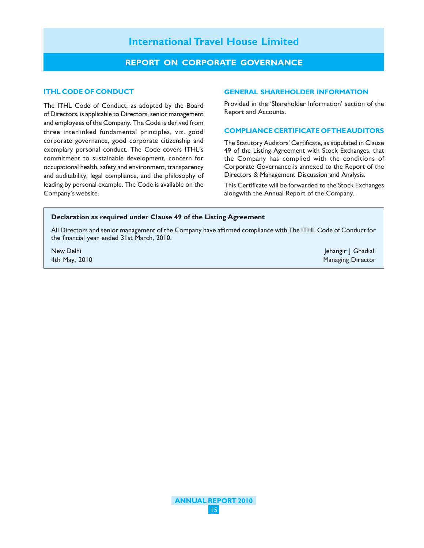## **REPORT ON CORPORATE GOVERNANCE**

#### **ITHL CODE OF CONDUCT**

The ITHL Code of Conduct, as adopted by the Board of Directors, is applicable to Directors, senior management and employees of the Company. The Code is derived from three interlinked fundamental principles, viz. good corporate governance, good corporate citizenship and exemplary personal conduct. The Code covers ITHL's commitment to sustainable development, concern for occupational health, safety and environment, transparency and auditability, legal compliance, and the philosophy of leading by personal example. The Code is available on the Company's website.

#### **GENERAL SHAREHOLDER INFORMATION**

Provided in the 'Shareholder Information' section of the Report and Accounts.

#### **COMPLIANCE CERTIFICATE OF THE AUDITORS**

The Statutory Auditors' Certificate, as stipulated in Clause 49 of the Listing Agreement with Stock Exchanges, that the Company has complied with the conditions of Corporate Governance is annexed to the Report of the Directors & Management Discussion and Analysis.

This Certificate will be forwarded to the Stock Exchanges alongwith the Annual Report of the Company.

#### **Declaration as required under Clause 49 of the Listing Agreement**

All Directors and senior management of the Company have affirmed compliance with The ITHL Code of Conduct for the financial year ended 31st March, 2010.

New Delhi Jehangir J Ghadiali Jehangir J Ghadiali Jehangir J Ghadiali Jehangir J Ghadiali Jehangir J Ghadiali Ath May, 2010 **Managing Director** Managing Director Communication Communication Communication Communication Communication Communication Communication Communication Communication Communication Communication Communication Co

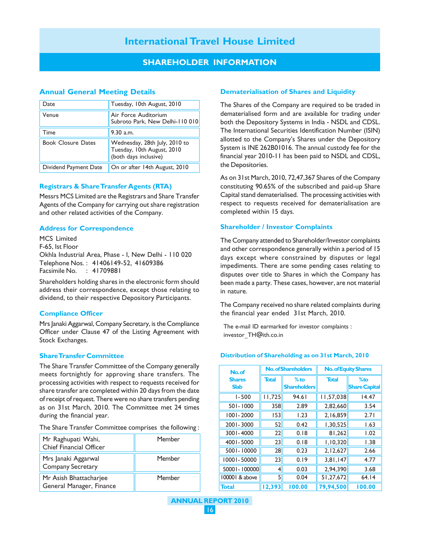# **SHAREHOLDER INFORMATION**

#### **Annual General Meeting Details**

| Date                      | Tuesday, 10th August, 2010                                                           |
|---------------------------|--------------------------------------------------------------------------------------|
| Venue                     | Air Force Auditorium<br>Subroto Park, New Delhi-110 010                              |
| Time                      | 9.30 a.m.                                                                            |
| <b>Book Closure Dates</b> | Wednesday, 28th July, 2010 to<br>Tuesday, 10th August, 2010<br>(both days inclusive) |
| Dividend Payment Date     | On or after 14th August, 2010                                                        |

### **Registrars & Share Transfer Agents (RTA)**

Messrs MCS Limited are the Registrars and Share Transfer Agents of the Company for carrying out share registration and other related activities of the Company.

#### **Address for Correspondence**

MCS Limited F-65, Ist Floor Okhla Industrial Area, Phase - I, New Delhi - 110 020 Telephone Nos. : 41406149-52, 41609386 Facsimile No. : 41709881

Shareholders holding shares in the electronic form should address their correspondence, except those relating to dividend, to their respective Depository Participants.

#### **Compliance Officer**

Mrs Janaki Aggarwal, Company Secretary, is the Compliance Officer under Clause 47 of the Listing Agreement with Stock Exchanges.

#### **Share Transfer Committee**

The Share Transfer Committee of the Company generally meets fortnightly for approving share transfers. The processing activities with respect to requests received for share transfer are completed within 20 days from the date of receipt of request. There were no share transfers pending as on 31st March, 2010. The Committee met 24 times during the financial year.

|  |  | The Share Transfer Committee comprises the following: |
|--|--|-------------------------------------------------------|
|  |  |                                                       |

| Mr Raghupati Wahi,<br>Chief Financial Officer      | Member |
|----------------------------------------------------|--------|
| Mrs Janaki Aggarwal<br><b>Company Secretary</b>    | Member |
| Mr Asish Bhattacharjee<br>General Manager, Finance | Member |

#### **Dematerialisation of Shares and Liquidity**

The Shares of the Company are required to be traded in dematerialised form and are available for trading under both the Depository Systems in India - NSDL and CDSL. The International Securities Identification Number (ISIN) allotted to the Company's Shares under the Depository System is INE 262B01016. The annual custody fee for the financial year 2010-11 has been paid to NSDL and CDSL, the Depositories.

As on 31st March, 2010, 72,47,367 Shares of the Company constituting 90.65% of the subscribed and paid-up Share Capital stand dematerialised. The processing activities with respect to requests received for dematerialisation are completed within 15 days.

#### **Shareholder / Investor Complaints**

The Company attended to Shareholder/Investor complaints and other correspondence generally within a period of 15 days except where constrained by disputes or legal impediments. There are some pending cases relating to disputes over title to Shares in which the Company has been made a party. These cases, however, are not material in nature.

The Company received no share related complaints during the financial year ended 31st March, 2010.

The e-mail ID earmarked for investor complaints : investor\_TH@ith.co.in

#### **Distribution of Shareholding as on 31st March, 2010**

| No.of                        | <b>No. of Shareholders</b> |                               | <b>No. of Equity Shares</b> |                                |
|------------------------------|----------------------------|-------------------------------|-----------------------------|--------------------------------|
| <b>Shares</b><br><b>Slab</b> | <b>Total</b>               | % $to$<br><b>Shareholders</b> | <b>Total</b>                | $%$ to<br><b>Share Capital</b> |
| $1 - 500$                    | 11,725                     | 94.61                         | 11,57,038                   | 14.47                          |
| 501-1000                     | 358                        | 2.89                          | 2,82,660                    | 3.54                           |
| $1001 - 2000$                | 153                        | 1.23                          | 2,16,859                    | 2.71                           |
| 2001-3000                    | 52                         | 0.42                          | 1,30,525                    | 1.63                           |
| 3001-4000                    | 22                         | 0.18                          | 81,262                      | 1.02                           |
| 4001-5000                    | 23                         | 0.18                          | 1,10,320                    | 1.38                           |
| 5001-10000                   | 28                         | 0.23                          | 2,12,627                    | 2.66                           |
| 10001-50000                  | 23                         | 0.19                          | 3,81,147                    | 4.77                           |
| 50001-100000                 | 4                          | 0.03                          | 2.94.390                    | 3.68                           |
| 100001 & above               | 5                          | 0.04                          | 51,27,672                   | 64.14                          |
| <b>Total</b>                 | 12,393                     | 100.00                        | 79,94,500                   | 100.00                         |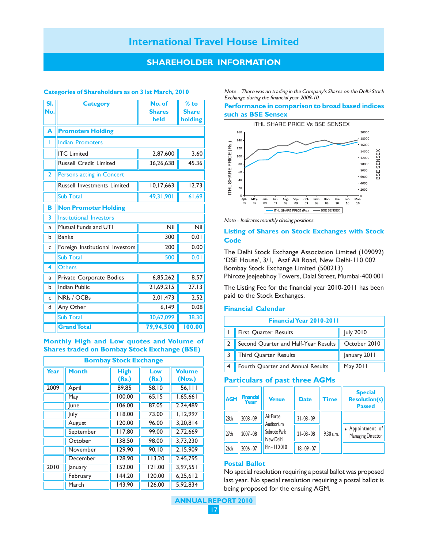## **SHAREHOLDER INFORMATION**

#### **Categories of Shareholders as on 31st March, 2010**

| SI.<br>No.     | <b>Category</b>                    | No. of<br><b>Shares</b><br>held | $%$ to<br><b>Share</b><br>holding |  |  |  |
|----------------|------------------------------------|---------------------------------|-----------------------------------|--|--|--|
| A              | <b>Promoters Holding</b>           |                                 |                                   |  |  |  |
| ı              | <b>Indian Promoters</b>            |                                 |                                   |  |  |  |
|                | <b>ITC</b> Limited                 | 2,87,600                        | 3.60                              |  |  |  |
|                | <b>Russell Credit Limited</b>      | 36,26,638                       | 45.36                             |  |  |  |
| $\overline{2}$ | <b>Persons acting in Concert</b>   |                                 |                                   |  |  |  |
|                | <b>Russell Investments Limited</b> | 10,17,663                       | 12.73                             |  |  |  |
|                | <b>Sub Total</b>                   | 49,31,901                       | 61.69                             |  |  |  |
| B              | <b>Non Promoter Holding</b>        |                                 |                                   |  |  |  |
| 3              | <b>Institutional Investors</b>     |                                 |                                   |  |  |  |
| a              | Mutual Funds and UTI               | Nil                             | Nil                               |  |  |  |
| b              | <b>Banks</b>                       | 300                             | 0.01                              |  |  |  |
| C              | Foreign Institutional Investors    | 200                             | 0.00                              |  |  |  |
|                | <b>Sub Total</b>                   | 500                             | 0.01                              |  |  |  |
| 4              | <b>Others</b>                      |                                 |                                   |  |  |  |
| a              | Private Corporate Bodies           | 6,85,262                        | 8.57                              |  |  |  |
| b              | <b>Indian Public</b>               | 21,69,215                       | 27.13                             |  |  |  |
| C              | NRIs / OCBs                        | 2,01,473                        | 2.52                              |  |  |  |
| d              | Any Other                          | 6,149                           | 0.08                              |  |  |  |
|                | <b>Sub Total</b>                   | 30,62,099                       | 38.30                             |  |  |  |
|                | <b>Grand Total</b>                 | 79,94,500                       | 100.00                            |  |  |  |

**Monthly High and Low quotes and Volume of Shares traded on Bombay Stock Exchange (BSE)**

| <b>Bombay Stock Exchange</b> |              |                      |              |                         |  |
|------------------------------|--------------|----------------------|--------------|-------------------------|--|
| Year                         | <b>Month</b> | <b>High</b><br>(Rs.) | Low<br>(Rs.) | <b>Volume</b><br>(Nos.) |  |
| 2009                         | April        | 89.85                | 58.10        | 56, 111                 |  |
|                              | May          | 100.00               | 65.15        | 1,65,661                |  |
|                              | lune         | 106.00               | 87.05        | 2,24,489                |  |
|                              | <b>July</b>  | 118.00               | 73.00        | 1,12,997                |  |
|                              | August       | 120.00               | 96.00        | 3.20.814                |  |
|                              | September    | 117.80               | 99.00        | 2,72,669                |  |
|                              | October      | 138.50               | 98.00        | 3,73,230                |  |
|                              | November     | 129.90               | 90.10        | 2,15,909                |  |
|                              | December     | 128.90               | 113.20       | 2,45,795                |  |
| 2010                         | anuary       | 152.00               | 121.00       | 3.97.551                |  |
|                              | February     | 144.20               | 120.00       | 6,25,612                |  |
|                              | March        | 143.90               | 126.00       | 5,92,834                |  |

Note – There was no trading in the Company's Shares on the Delhi Stock Exchange during the financial year 2009-10.

#### **Performance in comparison to broad based indices such as BSE Sensex**



Note – Indicates monthly closing positions.

#### **Listing of Shares on Stock Exchanges with Stock Code**

The Delhi Stock Exchange Association Limited (109092) 'DSE House', 3/1, Asaf Ali Road, New Delhi-110 002 Bombay Stock Exchange Limited (500213) Phiroze Jeejeebhoy Towers, Dalal Street, Mumbai-400 001

The Listing Fee for the financial year 2010-2011 has been paid to the Stock Exchanges.

#### **Financial Calendar**

| Financial Year 2010-2011             |              |  |  |  |
|--------------------------------------|--------------|--|--|--|
| First Quarter Results                | July 2010    |  |  |  |
| Second Quarter and Half-Year Results | October 2010 |  |  |  |
| Third Quarter Results                | January 2011 |  |  |  |
| Fourth Quarter and Annual Results    | May 2011     |  |  |  |

#### **Particulars of past three AGMs**

| <b>AGM</b>       | <b>Financial</b><br>Year | <b>Venue</b>                                                         | <b>Date</b>    | Time      | <b>Special</b><br><b>Resolution(s)</b><br><b>Passed</b> |
|------------------|--------------------------|----------------------------------------------------------------------|----------------|-----------|---------------------------------------------------------|
| 28th             | 2008 - 09                | Air Force<br>Auditorium<br>Subroto Park<br>New Delhi<br>Pin - 110010 | $31 - 08 - 09$ |           |                                                         |
| 27 <sub>th</sub> | $2007 - 08$              |                                                                      | $21 - 08 - 08$ | 9.30 a.m. | • Appointment of<br>Managing Director                   |
| 26th             | $2006 - 07$              |                                                                      | $18 - 09 - 07$ |           |                                                         |

#### **Postal Ballot**

No special resolution requiring a postal ballot was proposed last year. No special resolution requiring a postal ballot is being proposed for the ensuing AGM.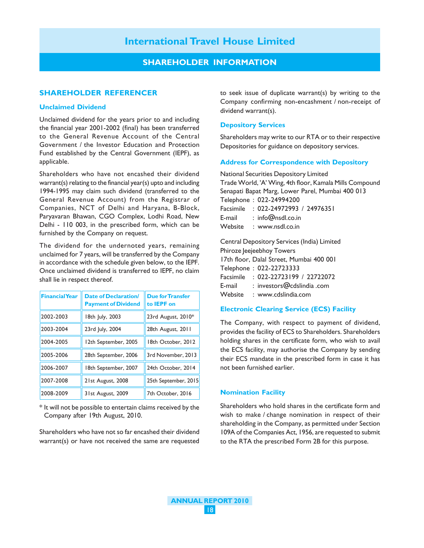## **SHAREHOLDER INFORMATION**

#### **SHAREHOLDER REFERENCER**

#### **Unclaimed Dividend**

Unclaimed dividend for the years prior to and including the financial year 2001-2002 (final) has been transferred to the General Revenue Account of the Central Government / the Investor Education and Protection Fund established by the Central Government (IEPF), as applicable.

Shareholders who have not encashed their dividend warrant(s) relating to the financial year(s) upto and including 1994-1995 may claim such dividend (transferred to the General Revenue Account) from the Registrar of Companies, NCT of Delhi and Haryana, B-Block, Paryavaran Bhawan, CGO Complex, Lodhi Road, New Delhi - 110 003, in the prescribed form, which can be furnished by the Company on request.

The dividend for the undernoted years, remaining unclaimed for 7 years, will be transferred by the Company in accordance with the schedule given below, to the IEPF. Once unclaimed dividend is transferred to IEPF, no claim shall lie in respect thereof.

| <b>Financial Year</b> | <b>Date of Declaration/</b><br><b>Payment of Dividend</b> | <b>Due for Transfer</b><br>to <b>IEPF</b> on |
|-----------------------|-----------------------------------------------------------|----------------------------------------------|
| 2002-2003             | 18th July, 2003                                           | 23rd August, 2010*                           |
| 2003-2004             | 23rd July, 2004                                           | 28th August, 2011                            |
| 2004-2005             | 12th September, 2005                                      | 18th October, 2012                           |
| 2005-2006             | 28th September, 2006                                      | 3rd November, 2013                           |
| 2006-2007             | 18th September, 2007                                      | 24th October, 2014                           |
| 2007-2008             | 21st August, 2008                                         | 25th September, 2015                         |
| 2008-2009             | 31st August, 2009                                         | 7th October, 2016                            |

\* It will not be possible to entertain claims received by the Company after 19th August, 2010.

Shareholders who have not so far encashed their dividend warrant(s) or have not received the same are requested

to seek issue of duplicate warrant(s) by writing to the Company confirming non-encashment / non-receipt of dividend warrant(s).

#### **Depository Services**

Shareholders may write to our RTA or to their respective Depositories for guidance on depository services.

#### **Address for Correspondence with Depository**

National Securities Depository Limited Trade World, 'A' Wing, 4th floor, Kamala Mills Compound Senapati Bapat Marg, Lower Parel, Mumbai 400 013 Telephone : 022-24994200 Facsimile : 022-24972993 / 24976351 E-mail : info@nsdl.co.in Website : www.nsdl.co.in

Central Depository Services (India) Limited Phiroze Jeejeebhoy Towers 17th floor, Dalal Street, Mumbai 400 001 Telephone : 022-22723333 Facsimile : 022-22723199 / 22722072 E-mail : investors@cdslindia .com

Website : www.cdslindia.com

#### **Electronic Clearing Service (ECS) Facility**

The Company, with respect to payment of dividend, provides the facility of ECS to Shareholders. Shareholders holding shares in the certificate form, who wish to avail the ECS facility, may authorise the Company by sending their ECS mandate in the prescribed form in case it has not been furnished earlier.

#### **Nomination Facility**

Shareholders who hold shares in the certificate form and wish to make / change nomination in respect of their shareholding in the Company, as permitted under Section 109A of the Companies Act, 1956, are requested to submit to the RTA the prescribed Form 2B for this purpose.

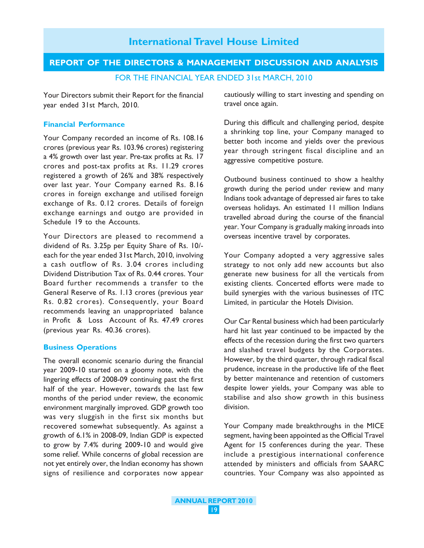# **REPORT OF THE DIRECTORS & MANAGEMENT DISCUSSION AND ANALYSIS**

FOR THE FINANCIAL YEAR ENDED 31st MARCH, 2010

Your Directors submit their Report for the financial year ended 31st March, 2010.

#### **Financial Performance**

Your Company recorded an income of Rs. 108.16 crores (previous year Rs. 103.96 crores) registering a 4% growth over last year. Pre-tax profits at Rs. 17 crores and post-tax profits at Rs. 11.29 crores registered a growth of 26% and 38% respectively over last year. Your Company earned Rs. 8.16 crores in foreign exchange and utilised foreign exchange of Rs. 0.12 crores. Details of foreign exchange earnings and outgo are provided in Schedule 19 to the Accounts.

Your Directors are pleased to recommend a dividend of Rs. 3.25p per Equity Share of Rs. 10/ each for the year ended 31st March, 2010, involving a cash outflow of Rs. 3.04 crores including Dividend Distribution Tax of Rs. 0.44 crores. Your Board further recommends a transfer to the General Reserve of Rs. 1.13 crores (previous year Rs. 0.82 crores). Consequently, your Board recommends leaving an unappropriated balance in Profit & Loss Account of Rs. 47.49 crores (previous year Rs. 40.36 crores).

#### **Business Operations**

The overall economic scenario during the financial year 2009-10 started on a gloomy note, with the lingering effects of 2008-09 continuing past the first half of the year. However, towards the last few months of the period under review, the economic environment marginally improved. GDP growth too was very sluggish in the first six months but recovered somewhat subsequently. As against a growth of 6.1% in 2008-09, Indian GDP is expected to grow by 7.4% during 2009-10 and would give some relief. While concerns of global recession are not yet entirely over, the Indian economy has shown signs of resilience and corporates now appear

cautiously willing to start investing and spending on travel once again.

During this difficult and challenging period, despite a shrinking top line, your Company managed to better both income and yields over the previous year through stringent fiscal discipline and an aggressive competitive posture.

Outbound business continued to show a healthy growth during the period under review and many Indians took advantage of depressed air fares to take overseas holidays. An estimated 11 million Indians travelled abroad during the course of the financial year. Your Company is gradually making inroads into overseas incentive travel by corporates.

Your Company adopted a very aggressive sales strategy to not only add new accounts but also generate new business for all the verticals from existing clients. Concerted efforts were made to build synergies with the various businesses of ITC Limited, in particular the Hotels Division.

Our Car Rental business which had been particularly hard hit last year continued to be impacted by the effects of the recession during the first two quarters and slashed travel budgets by the Corporates. However, by the third quarter, through radical fiscal prudence, increase in the productive life of the fleet by better maintenance and retention of customers despite lower yields, your Company was able to stabilise and also show growth in this business division.

Your Company made breakthroughs in the MICE segment, having been appointed as the Official Travel Agent for 15 conferences during the year. These include a prestigious international conference attended by ministers and officials from SAARC countries. Your Company was also appointed as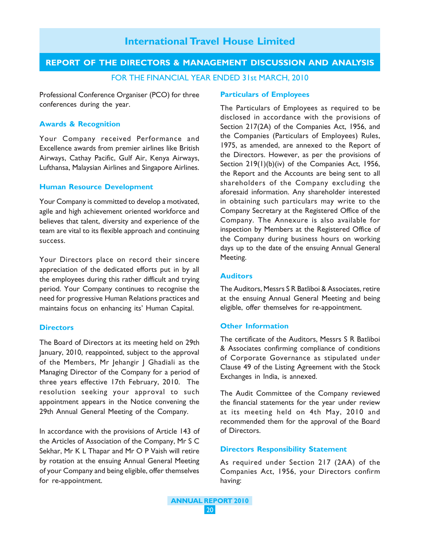# **REPORT OF THE DIRECTORS & MANAGEMENT DISCUSSION AND ANALYSIS**

FOR THE FINANCIAL YEAR ENDED 31st MARCH, 2010

Professional Conference Organiser (PCO) for three conferences during the year.

#### **Awards & Recognition**

Your Company received Performance and Excellence awards from premier airlines like British Airways, Cathay Pacific, Gulf Air, Kenya Airways, Lufthansa, Malaysian Airlines and Singapore Airlines.

### **Human Resource Development**

Your Company is committed to develop a motivated, agile and high achievement oriented workforce and believes that talent, diversity and experience of the team are vital to its flexible approach and continuing success.

Your Directors place on record their sincere appreciation of the dedicated efforts put in by all the employees during this rather difficult and trying period. Your Company continues to recognise the need for progressive Human Relations practices and maintains focus on enhancing its' Human Capital.

#### **Directors**

The Board of Directors at its meeting held on 29th January, 2010, reappointed, subject to the approval of the Members, Mr Jehangir | Ghadiali as the Managing Director of the Company for a period of three years effective 17th February, 2010. The resolution seeking your approval to such appointment appears in the Notice convening the 29th Annual General Meeting of the Company.

In accordance with the provisions of Article 143 of the Articles of Association of the Company, Mr S C Sekhar, Mr K L Thapar and Mr O P Vaish will retire by rotation at the ensuing Annual General Meeting of your Company and being eligible, offer themselves for re-appointment.

#### **Particulars of Employees**

The Particulars of Employees as required to be disclosed in accordance with the provisions of Section 217(2A) of the Companies Act, 1956, and the Companies (Particulars of Employees) Rules, 1975, as amended, are annexed to the Report of the Directors. However, as per the provisions of Section 219(1)(b)(iv) of the Companies Act, 1956, the Report and the Accounts are being sent to all shareholders of the Company excluding the aforesaid information. Any shareholder interested in obtaining such particulars may write to the Company Secretary at the Registered Office of the Company. The Annexure is also available for inspection by Members at the Registered Office of the Company during business hours on working days up to the date of the ensuing Annual General Meeting.

### **Auditors**

The Auditors, Messrs S R Batliboi & Associates, retire at the ensuing Annual General Meeting and being eligible, offer themselves for re-appointment.

#### **Other Information**

The certificate of the Auditors, Messrs S R Batliboi & Associates confirming compliance of conditions of Corporate Governance as stipulated under Clause 49 of the Listing Agreement with the Stock Exchanges in India, is annexed.

The Audit Committee of the Company reviewed the financial statements for the year under review at its meeting held on 4th May, 2010 and recommended them for the approval of the Board of Directors.

### **Directors Responsibility Statement**

As required under Section 217 (2AA) of the Companies Act, 1956, your Directors confirm having: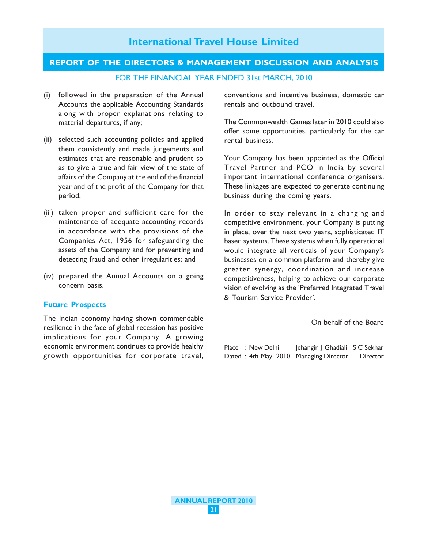# **REPORT OF THE DIRECTORS & MANAGEMENT DISCUSSION AND ANALYSIS**

FOR THE FINANCIAL YEAR ENDED 31st MARCH, 2010

**International Travel House Limited**

- (i) followed in the preparation of the Annual Accounts the applicable Accounting Standards along with proper explanations relating to material departures, if any;
- (ii) selected such accounting policies and applied them consistently and made judgements and estimates that are reasonable and prudent so as to give a true and fair view of the state of affairs of the Company at the end of the financial year and of the profit of the Company for that period;
- (iii) taken proper and sufficient care for the maintenance of adequate accounting records in accordance with the provisions of the Companies Act, 1956 for safeguarding the assets of the Company and for preventing and detecting fraud and other irregularities; and
- (iv) prepared the Annual Accounts on a going concern basis.

# **Future Prospects**

The Indian economy having shown commendable resilience in the face of global recession has positive implications for your Company. A growing economic environment continues to provide healthy growth opportunities for corporate travel, conventions and incentive business, domestic car rentals and outbound travel.

The Commonwealth Games later in 2010 could also offer some opportunities, particularly for the car rental business.

Your Company has been appointed as the Official Travel Partner and PCO in India by several important international conference organisers. These linkages are expected to generate continuing business during the coming years.

In order to stay relevant in a changing and competitive environment, your Company is putting in place, over the next two years, sophisticated IT based systems. These systems when fully operational would integrate all verticals of your Company's businesses on a common platform and thereby give greater synergy, coordination and increase competitiveness, helping to achieve our corporate vision of evolving as the 'Preferred Integrated Travel & Tourism Service Provider'.

#### On behalf of the Board

Place : New Delhi Jehangir | Ghadiali S C Sekhar Dated : 4th May, 2010 Managing Director Director

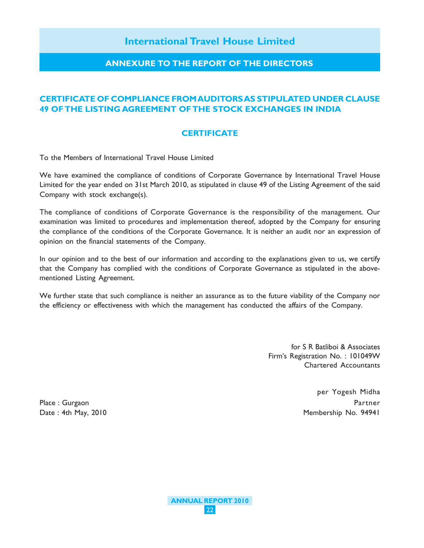# **ANNEXURE TO THE REPORT OF THE DIRECTORS**

# **CERTIFICATE OF COMPLIANCE FROM AUDITORS AS STIPULATED UNDER CLAUSE 49 OF THE LISTING AGREEMENT OF THE STOCK EXCHANGES IN INDIA**

# **CERTIFICATE**

To the Members of International Travel House Limited

We have examined the compliance of conditions of Corporate Governance by International Travel House Limited for the year ended on 31st March 2010, as stipulated in clause 49 of the Listing Agreement of the said Company with stock exchange(s).

The compliance of conditions of Corporate Governance is the responsibility of the management. Our examination was limited to procedures and implementation thereof, adopted by the Company for ensuring the compliance of the conditions of the Corporate Governance. It is neither an audit nor an expression of opinion on the financial statements of the Company.

In our opinion and to the best of our information and according to the explanations given to us, we certify that the Company has complied with the conditions of Corporate Governance as stipulated in the abovementioned Listing Agreement.

We further state that such compliance is neither an assurance as to the future viability of the Company nor the efficiency or effectiveness with which the management has conducted the affairs of the Company.

> for S R Batliboi & Associates Firm's Registration No. : 101049W Chartered Accountants

> > per Yogesh Midha

Place : Gurgaon Partner Date : 4th May, 2010 **Membership No. 94941** 

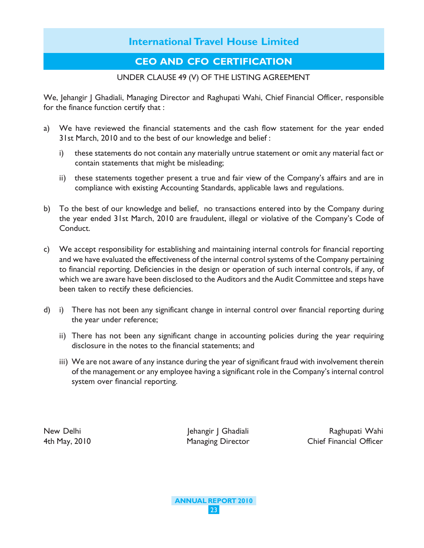# **CEO AND CFO CERTIFICATION**

# UNDER CLAUSE 49 (V) OF THE LISTING AGREEMENT

We, Jehangir J Ghadiali, Managing Director and Raghupati Wahi, Chief Financial Officer, responsible for the finance function certify that :

- a) We have reviewed the financial statements and the cash flow statement for the year ended 31st March, 2010 and to the best of our knowledge and belief :
	- i) these statements do not contain any materially untrue statement or omit any material fact or contain statements that might be misleading;
	- ii) these statements together present a true and fair view of the Company's affairs and are in compliance with existing Accounting Standards, applicable laws and regulations.
- b) To the best of our knowledge and belief, no transactions entered into by the Company during the year ended 31st March, 2010 are fraudulent, illegal or violative of the Company's Code of Conduct.
- c) We accept responsibility for establishing and maintaining internal controls for financial reporting and we have evaluated the effectiveness of the internal control systems of the Company pertaining to financial reporting. Deficiencies in the design or operation of such internal controls, if any, of which we are aware have been disclosed to the Auditors and the Audit Committee and steps have been taken to rectify these deficiencies.
- d) i) There has not been any significant change in internal control over financial reporting during the year under reference;
	- ii) There has not been any significant change in accounting policies during the year requiring disclosure in the notes to the financial statements; and
	- iii) We are not aware of any instance during the year of significant fraud with involvement therein of the management or any employee having a significant role in the Company's internal control system over financial reporting.

New Delhi Jehangir J Ghadiali Raghupati Wahi 4th May, 2010 Managing Director Chief Financial Officer

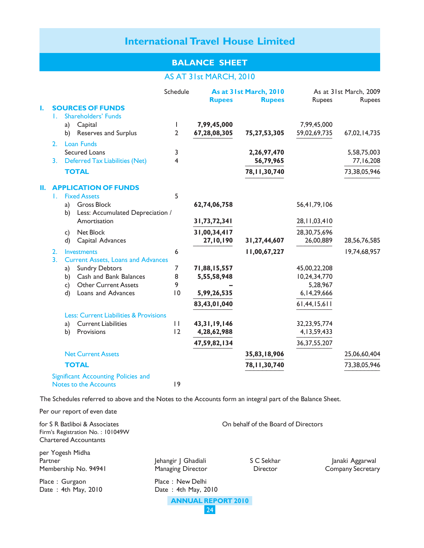# **BALANCE SHEET**

# AS AT 31st MARCH, 2010

|    |                  |    |                                                   | Schedule                | <b>Rupees</b>   | As at 31st March, 2010<br><b>Rupees</b> | <b>Rupees</b>   | As at 31st March, 2009<br><b>Rupees</b> |
|----|------------------|----|---------------------------------------------------|-------------------------|-----------------|-----------------------------------------|-----------------|-----------------------------------------|
| ı. |                  |    | <b>SOURCES OF FUNDS</b>                           |                         |                 |                                         |                 |                                         |
|    | L.               |    | <b>Shareholders' Funds</b>                        |                         |                 |                                         |                 |                                         |
|    |                  | a) | Capital                                           | $\mathbf{I}$            | 7,99,45,000     |                                         | 7,99,45,000     |                                         |
|    |                  | b) | <b>Reserves and Surplus</b>                       | $\overline{2}$          | 67,28,08,305    | 75,27,53,305                            | 59,02,69,735    | 67,02,14,735                            |
|    | 2.               |    | <b>Loan Funds</b>                                 |                         |                 |                                         |                 |                                         |
|    |                  |    | <b>Secured Loans</b>                              | 3                       |                 | 2,26,97,470                             |                 | 5,58,75,003                             |
|    | 3.               |    | <b>Deferred Tax Liabilities (Net)</b>             | $\overline{\mathbf{4}}$ |                 | 56,79,965                               |                 | 77,16,208                               |
|    |                  |    | <b>TOTAL</b>                                      |                         |                 | 78, 11, 30, 740                         |                 | 73,38,05,946                            |
| П. |                  |    | <b>APPLICATION OF FUNDS</b>                       |                         |                 |                                         |                 |                                         |
|    | L.               |    | <b>Fixed Assets</b>                               | 5                       |                 |                                         |                 |                                         |
|    |                  | a) | <b>Gross Block</b>                                |                         | 62,74,06,758    |                                         | 56,41,79,106    |                                         |
|    |                  | b) | Less: Accumulated Depreciation /                  |                         |                 |                                         |                 |                                         |
|    |                  |    | Amortisation                                      |                         | 31,73,72,341    |                                         | 28, 11, 03, 410 |                                         |
|    |                  | c) | Net Block                                         |                         | 31,00,34,417    |                                         | 28,30,75,696    |                                         |
|    |                  | d) | Capital Advances                                  |                         | 27,10,190       | 31,27,44,607                            | 26,00,889       | 28,56,76,585                            |
|    | 2.               |    | Investments                                       | 6                       |                 | 11,00,67,227                            |                 | 19,74,68,957                            |
|    | $\overline{3}$ . |    | <b>Current Assets, Loans and Advances</b>         |                         |                 |                                         |                 |                                         |
|    |                  | a) | <b>Sundry Debtors</b>                             | 7                       | 71,88,15,557    |                                         | 45,00,22,208    |                                         |
|    |                  | b) | Cash and Bank Balances                            | 8                       | 5,55,58,948     |                                         | 10,24,34,770    |                                         |
|    |                  | c) | <b>Other Current Assets</b>                       | 9                       |                 |                                         | 5,28,967        |                                         |
|    |                  | d) | Loans and Advances                                | 0                       | 5,99,26,535     |                                         | 6, 14, 29, 666  |                                         |
|    |                  |    |                                                   |                         | 83,43,01,040    |                                         | 61,44,15,611    |                                         |
|    |                  |    | <b>Less: Current Liabilities &amp; Provisions</b> |                         |                 |                                         |                 |                                         |
|    |                  | a) | <b>Current Liabilities</b>                        | $\mathbf{H}$            | 43, 31, 19, 146 |                                         | 32, 23, 95, 774 |                                         |
|    |                  | b) | Provisions                                        | 12                      | 4,28,62,988     |                                         | 4, 13, 59, 433  |                                         |
|    |                  |    |                                                   |                         | 47,59,82,134    |                                         | 36, 37, 55, 207 |                                         |
|    |                  |    | <b>Net Current Assets</b>                         |                         |                 | 35,83,18,906                            |                 | 25,06,60,404                            |
|    |                  |    | <b>TOTAL</b>                                      |                         |                 | 78, 11, 30, 740                         |                 | 73,38,05,946                            |
|    |                  |    | Significant Accounting Policies and               |                         |                 |                                         |                 |                                         |
|    |                  |    | <b>Notes to the Accounts</b>                      | 9                       |                 |                                         |                 |                                         |

The Schedules referred to above and the Notes to the Accounts form an integral part of the Balance Sheet.

Per our report of even date

| for S R Batliboi & Associates<br>Firm's Registration No.: 101049W<br><b>Chartered Accountants</b> |                                                 | On behalf of the Board of Directors |                                             |
|---------------------------------------------------------------------------------------------------|-------------------------------------------------|-------------------------------------|---------------------------------------------|
| per Yogesh Midha<br>Partner<br>Membership No. 94941                                               | Jehangir   Ghadiali<br><b>Managing Director</b> | S C Sekhar<br><b>Director</b>       | Janaki Aggarwal<br><b>Company Secretary</b> |
| Place: Gurgaon<br>Date: 4th May, 2010                                                             | Place: New Delhi<br>Date: $4th$ May, 2010       |                                     |                                             |
|                                                                                                   | <b>ANNUAL REPORT 2010</b><br>24                 |                                     |                                             |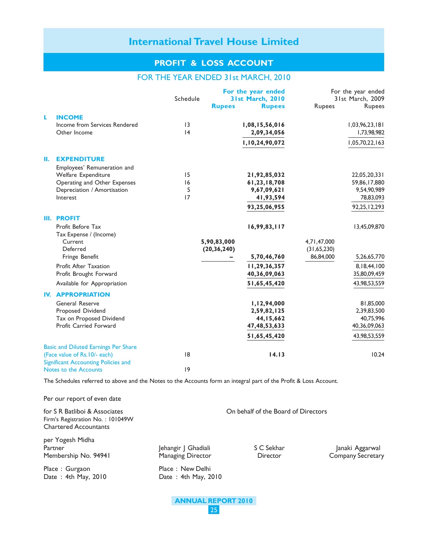# **PROFIT & LOSS ACCOUNT**

## FOR THE YEAR ENDED 31st MARCH, 2010

|    |                                             | Schedule |               | For the year ended<br><b>31st March, 2010</b> |             | For the year ended<br>31st March, 2009 |
|----|---------------------------------------------|----------|---------------|-----------------------------------------------|-------------|----------------------------------------|
|    |                                             |          | <b>Rupees</b> | <b>Rupees</b>                                 | Rupees      | Rupees                                 |
| L  | <b>INCOME</b>                               |          |               |                                               |             |                                        |
|    | Income from Services Rendered               | 3        |               | 1,08,15,56,016                                |             | 1,03,96,23,181                         |
|    | Other Income                                | 4        |               | 2,09,34,056                                   |             | 1,73,98,982                            |
|    |                                             |          |               | 1,10,24,90,072                                |             | 1,05,70,22,163                         |
| Ш. | <b>EXPENDITURE</b>                          |          |               |                                               |             |                                        |
|    | Employees' Remuneration and                 |          |               |                                               |             |                                        |
|    | Welfare Expenditure                         | 15       |               | 21,92,85,032                                  |             | 22,05,20,331                           |
|    | Operating and Other Expenses                | 16       |               | 61,23,18,708                                  |             | 59,86,17,880                           |
|    | Depreciation / Amortisation                 | 5        |               | 9,67,09,621                                   |             | 9,54,90,989                            |
|    | Interest                                    | 17       |               | 41,93,594                                     |             | 78,83,093                              |
|    |                                             |          |               | 93,25,06,955                                  |             | 92,25,12,293                           |
|    | <b>III. PROFIT</b><br>Profit Before Tax     |          |               | 16,99,83,117                                  |             | 13,45,09,870                           |
|    | Tax Expense / (Income)                      |          |               |                                               |             |                                        |
|    | Current                                     |          | 5,90,83,000   |                                               | 4,71,47,000 |                                        |
|    | Deferred                                    |          | (20, 36, 240) |                                               | (31,65,230) |                                        |
|    | Fringe Benefit                              |          |               | 5,70,46,760                                   | 86,84,000   | 5,26,65,770                            |
|    | <b>Profit After Taxation</b>                |          |               | 11,29,36,357                                  |             | 8,18,44,100                            |
|    | Profit Brought Forward                      |          |               | 40,36,09,063                                  |             | 35,80,09,459                           |
|    | Available for Appropriation                 |          |               | 51,65,45,420                                  |             | 43,98,53,559                           |
|    | <b>IV. APPROPRIATION</b>                    |          |               |                                               |             |                                        |
|    | <b>General Reserve</b>                      |          |               | 1,12,94,000                                   |             | 81,85,000                              |
|    | Proposed Dividend                           |          |               | 2,59,82,125                                   |             | 2,39,83,500                            |
|    | Tax on Proposed Dividend                    |          |               | 44, 15, 662                                   |             | 40,75,996                              |
|    | Profit Carried Forward                      |          |               | 47, 48, 53, 633                               |             | 40,36,09,063                           |
|    |                                             |          |               | 51,65,45,420                                  |             | 43,98,53,559                           |
|    | <b>Basic and Diluted Earnings Per Share</b> |          |               |                                               |             |                                        |
|    | (Face value of Rs. 10/- each)               | 8        |               | 14.13                                         |             | 10.24                                  |
|    | <b>Significant Accounting Policies and</b>  |          |               |                                               |             |                                        |
|    | Notes to the Accounts                       | 9        |               |                                               |             |                                        |

The Schedules referred to above and the Notes to the Accounts form an integral part of the Profit & Loss Account.

Per our report of even date

for S R Batliboi & Associates **Constant Constant Constant Constant Constant Constant Constant Constant Constant Constant Constant Constant Constant Constant Constant Constant Constant Constant Constant Constant Constant Co** Firm's Registration No. : 101049W Chartered Accountants per Yogesh Midha Partner The Tehangir J Ghadiali S C Sekhar Janaki Aggarwal Membership No. 94941 Managing Director **Numbership No. 94941** Managing Director **Company Secretary** Place : Gurgaon Place : New Delhi Date : 4th May, 2010 Date : 4th May, 2010

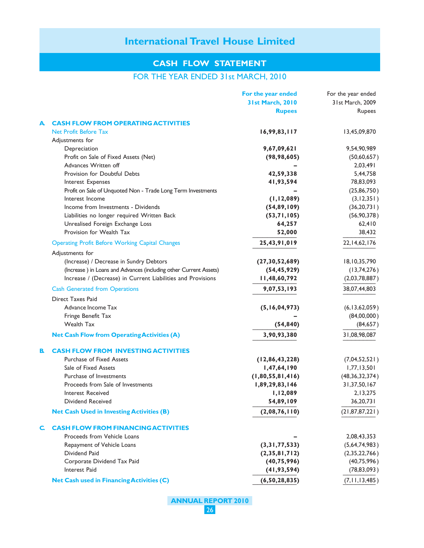# **CASH FLOW STATEMENT**

# FOR THE YEAR ENDED 31st MARCH, 2010

|    |                                                                   | For the year ended      | For the year ended |
|----|-------------------------------------------------------------------|-------------------------|--------------------|
|    |                                                                   | <b>31st March, 2010</b> | 31st March, 2009   |
|    |                                                                   | <b>Rupees</b>           | Rupees             |
| A  | <b>CASH FLOW FROM OPERATING ACTIVITIES</b>                        |                         |                    |
|    | <b>Net Profit Before Tax</b>                                      | 16,99,83,117            | 13,45,09,870       |
|    | Adjustments for                                                   |                         |                    |
|    | Depreciation                                                      | 9,67,09,621             | 9,54,90,989        |
|    | Profit on Sale of Fixed Assets (Net)                              | (98, 98, 605)           | (50,60,657)        |
|    | Advances Written off                                              |                         | 2,03,491           |
|    | Provision for Doubtful Debts                                      | 42,59,338               | 5,44,758           |
|    | Interest Expenses                                                 | 41,93,594               | 78,83,093          |
|    | Profit on Sale of Unquoted Non - Trade Long Term Investments      |                         | (25, 86, 750)      |
|    | Interest Income                                                   | (1, 12, 089)            | (3, 12, 351)       |
|    | Income from Investments - Dividends                               | (54, 89, 109)           | (36, 20, 731)      |
|    | Liabilities no longer required Written Back                       | (53,71,105)             | (56, 90, 378)      |
|    | Unrealised Foreign Exchange Loss                                  | 64,257                  | 62,410             |
|    | Provision for Wealth Tax                                          | 52,000                  | 38,432             |
|    | <b>Operating Profit Before Working Capital Changes</b>            | 25,43,91,019            | 22, 14, 62, 176    |
|    | Adjustments for                                                   |                         |                    |
|    | (Increase) / Decrease in Sundry Debtors                           | (27, 30, 52, 689)       | 18, 10, 35, 790    |
|    | (Increase) in Loans and Advances (including other Current Assets) | (54, 45, 929)           | (13,74,276)        |
|    | Increase / (Decrease) in Current Liabilities and Provisions       | 11,48,60,792            | (2,03,78,887)      |
|    | <b>Cash Generated from Operations</b>                             | 9,07,53,193             | 38,07,44,803       |
|    | <b>Direct Taxes Paid</b>                                          |                         |                    |
|    | Advance Income Tax                                                | (5, 16, 04, 973)        | (6, 13, 62, 059)   |
|    | Fringe Benefit Tax                                                |                         | (84,00,000)        |
|    | <b>Wealth Tax</b>                                                 | (54, 840)               | (84, 657)          |
|    | <b>Net Cash Flow from Operating Activities (A)</b>                | 3,90,93,380             | 31,08,98,087       |
| B. | <b>CASH FLOW FROM INVESTING ACTIVITIES</b>                        |                         |                    |
|    | Purchase of Fixed Assets                                          | (12, 86, 43, 228)       | (7,04,52,521)      |
|    | Sale of Fixed Assets                                              | 1,47,64,190             | 1,77,13,501        |
|    | Purchase of Investments                                           | (1,80,55,81,416)        | (48, 36, 32, 374)  |
|    | Proceeds from Sale of Investments                                 | 1,89,29,83,146          | 31, 37, 50, 167    |
|    | Interest Received                                                 | 1,12,089                | 2,13,275           |
|    | Dividend Received                                                 | 54,89,109               | 36,20,731          |
|    | <b>Net Cash Used in Investing Activities (B)</b>                  | (2,08,76,110)           | (21, 87, 87, 221)  |
| C  | <b>CASH FLOW FROM FINANCING ACTIVITIES</b>                        |                         |                    |
|    | Proceeds from Vehicle Loans                                       |                         | 2,08,43,353        |
|    | Repayment of Vehicle Loans                                        | (3,31,77,533)           | (5,64,74,983)      |
|    | Dividend Paid                                                     | (2,35,81,712)           | (2,35,22,766)      |
|    | Corporate Dividend Tax Paid                                       | (40, 75, 996)           | (40,75,996)        |
|    | <b>Interest Paid</b>                                              | (41, 93, 594)           | (78, 83, 093)      |
|    | Net Cash used in Financing Activities (C)                         | (6, 50, 28, 835)        | (7, 11, 13, 485)   |
|    |                                                                   |                         |                    |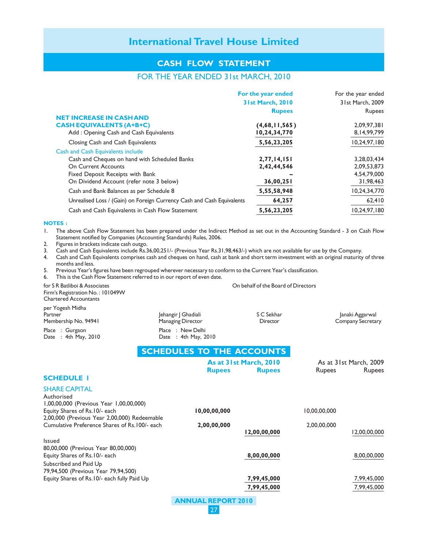## **CASH FLOW STATEMENT**

# FOR THE YEAR ENDED 31st MARCH, 2010

|                                                                        | For the year ended      | For the year ended |
|------------------------------------------------------------------------|-------------------------|--------------------|
|                                                                        | <b>31st March, 2010</b> | 31st March, 2009   |
|                                                                        | <b>Rupees</b>           | <b>Rupees</b>      |
| <b>NET INCREASE IN CASH AND</b>                                        |                         |                    |
| <b>CASH EQUIVALENTS (A+B+C)</b>                                        | (4,68,11,565)           | 2,09,97,381        |
| Add: Opening Cash and Cash Equivalents                                 | 10,24,34,770            | 8,14,99,799        |
| Closing Cash and Cash Equivalents                                      | 5,56,23,205             | 10,24,97,180       |
| <b>Cash and Cash Equivalents include</b>                               |                         |                    |
| Cash and Cheques on hand with Scheduled Banks                          | 2,77,14,151             | 3,28,03,434        |
| <b>On Current Accounts</b>                                             | 2,42,44,546             | 2,09,53,873        |
| Fixed Deposit Receipts with Bank                                       |                         | 4,54,79,000        |
| On Dividend Account (refer note 3 below)                               | 36,00,251               | 31,98,463          |
| Cash and Bank Balances as per Schedule 8                               | 5,55,58,948             | 10,24,34,770       |
| Unrealised Loss / (Gain) on Foreign Currency Cash and Cash Equivalents | 64,257                  | 62,410             |
| Cash and Cash Equivalents in Cash Flow Statement                       | 5,56,23,205             | 10,24,97,180       |

#### **NOTES :**

1. The above Cash Flow Statement has been prepared under the Indirect Method as set out in the Accounting Standard - 3 on Cash Flow Statement notified by Companies (Accounting Standards) Rules, 2006.

2. Figures in brackets indicate cash outgo.

3. Cash and Cash Equivalents include Rs.36,00,251/- (Previous Year Rs.31,98,463/-) which are not available for use by the Company.

4. Cash and Cash Equivalents comprises cash and cheques on hand, cash at bank and short term investment with an original maturity of three months and less.

5. Previous Year's figures have been regrouped wherever necessary to conform to the Current Year's classification.

6. This is the Cash Flow Statement referred to in our report of even date.

for S R Batliboi & Associates **Constanting Constanting Constanting Constanting Constanting Constanting Constanting Constanting Constanting Constanting Constanting Constanting Constanting Constanting Constanting Constanting** Firm's Registration No. : 101049W Chartered Accountants

per Yogesh Midha Partner The South Martner Jehangir J Ghadiali S C Sekhar S C Sekhar Janaki Aggarwal Membership No. 94941 Managing Director **Numbership No. 94941** Company Secretary

Place : Gurgaon Place : New Delhi

Date : 4th May, 2010 **SCHEDULES TO THE ACCOUNTS**

|                                                |               | As at 31st March, 2010 |               | As at 31st March, 2009 |
|------------------------------------------------|---------------|------------------------|---------------|------------------------|
|                                                | <b>Rupees</b> | <b>Rupees</b>          | <b>Rupees</b> | <b>Rupees</b>          |
| <b>SCHEDULE I</b>                              |               |                        |               |                        |
| <b>SHARE CAPITAL</b>                           |               |                        |               |                        |
| Authorised                                     |               |                        |               |                        |
| 1,00,00,000 (Previous Year 1,00,00,000)        |               |                        |               |                        |
| Equity Shares of Rs.10/- each                  | 10,00,00,000  |                        | 10,00,00,000  |                        |
| 2,00,000 (Previous Year 2,00,000) Redeemable   |               |                        |               |                        |
| Cumulative Preference Shares of Rs. 100/- each | 2,00,00,000   |                        | 2,00,00,000   |                        |
|                                                |               | 12,00,00,000           |               | 12,00,00,000           |
| <b>Issued</b>                                  |               |                        |               |                        |
| 80,00,000 (Previous Year 80,00,000)            |               |                        |               |                        |
| Equity Shares of Rs.10/- each                  |               | 8,00,00,000            |               | 8,00,00,000            |
| Subscribed and Paid Up                         |               |                        |               |                        |
| 79,94,500 (Previous Year 79,94,500)            |               |                        |               |                        |
| Equity Shares of Rs. 10/- each fully Paid Up   |               | 7,99,45,000            |               | 7,99,45,000            |
|                                                |               | 7,99,45,000            |               | 7,99,45,000            |
|                                                |               |                        |               |                        |

**ANNUAL REPORT 2010** 27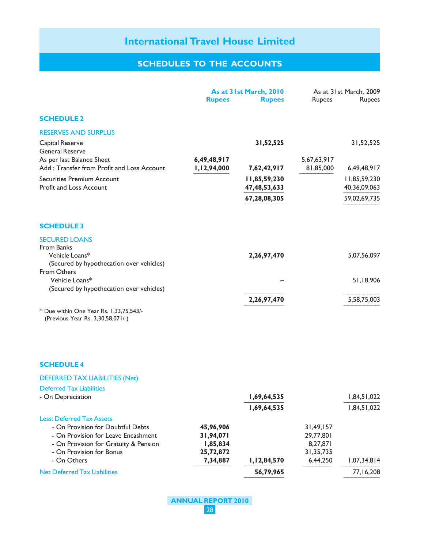|                                                                              |                            | As at 31st March, 2010 |                          | As at 31st March, 2009 |
|------------------------------------------------------------------------------|----------------------------|------------------------|--------------------------|------------------------|
|                                                                              | <b>Rupees</b>              | <b>Rupees</b>          | <b>Rupees</b>            | <b>Rupees</b>          |
| <b>SCHEDULE 2</b>                                                            |                            |                        |                          |                        |
| <b>RESERVES AND SURPLUS</b>                                                  |                            |                        |                          |                        |
| Capital Reserve                                                              |                            | 31,52,525              |                          | 31,52,525              |
| <b>General Reserve</b>                                                       |                            |                        |                          |                        |
| As per last Balance Sheet<br>Add: Transfer from Profit and Loss Account      | 6,49,48,917<br>1,12,94,000 | 7,62,42,917            | 5,67,63,917<br>81,85,000 | 6,49,48,917            |
| <b>Securities Premium Account</b>                                            |                            | 11,85,59,230           |                          | 11,85,59,230           |
| Profit and Loss Account                                                      |                            | 47, 48, 53, 633        |                          | 40,36,09,063           |
|                                                                              |                            | 67,28,08,305           |                          | 59,02,69,735           |
| <b>SCHEDULE 3</b>                                                            |                            |                        |                          |                        |
| <b>SECURED LOANS</b>                                                         |                            |                        |                          |                        |
| <b>From Banks</b>                                                            |                            |                        |                          |                        |
| Vehicle Loans*                                                               |                            | 2,26,97,470            |                          | 5,07,56,097            |
| (Secured by hypothecation over vehicles)<br><b>From Others</b>               |                            |                        |                          |                        |
| Vehicle Loans*                                                               |                            |                        |                          | 51,18,906              |
| (Secured by hypothecation over vehicles)                                     |                            |                        |                          |                        |
|                                                                              |                            | 2,26,97,470            |                          | 5,58,75,003            |
| * Due within One Year Rs. 1,33,75,543/-<br>(Previous Year Rs. 3,30,58,071/-) |                            |                        |                          |                        |
|                                                                              |                            |                        |                          |                        |
| <b>SCHEDULE 4</b>                                                            |                            |                        |                          |                        |
| <b>DEFERRED TAX LIABILITIES (Net)</b>                                        |                            |                        |                          |                        |
| <b>Deferred Tax Liabilities</b>                                              |                            |                        |                          |                        |
| - On Depreciation                                                            |                            | 1,69,64,535            |                          | 1,84,51,022            |
|                                                                              |                            | 1,69,64,535            |                          | 1,84,51,022            |
| <b>Less: Deferred Tax Assets</b>                                             |                            |                        |                          |                        |
| - On Provision for Doubtful Debts<br>- On Provision for Leave Encashment     | 45,96,906<br>31,94,071     |                        | 31,49,157                |                        |
| - On Provision for Gratuity & Pension                                        | 1,85,834                   |                        | 29,77,801<br>8,27,871    |                        |
| - On Provision for Bonus                                                     | 25,72,872                  |                        | 31,35,735                |                        |
| - On Others                                                                  | 7,34,887                   | 1,12,84,570            | 6,44,250                 | 1,07,34,814            |
| <b>Net Deferred Tax Liabilities</b>                                          |                            | 56,79,965              |                          | 77,16,208              |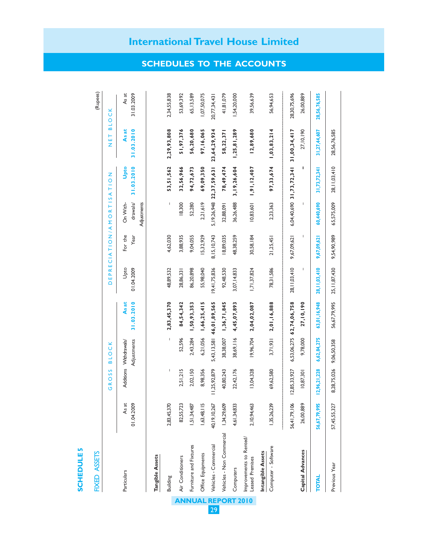# **SCHEDULES SCHEDULE 5**

# **FIXED ASSETS** FIXED ASSETS

G R O S S B L O C K D E P R E C I A T I O N / A M O R T I S A T I O N N E T B L O C K

GROSS BLOCK

DEPRECIATION/AMORTISATION

(Rupees)

NET BLOCK

| Particulars                                | As at<br>01.04.2009 |              | Adjustments<br>Additions Withdrawals                                                                                                                                                                                                                                                                                                                                                                           | As at<br>31.03.2010      | Upto<br>01.04.2009 | For the<br>Year | drawals/<br>On With-<br>Adjustments | Upto<br>31.03.2010                      | 31.03.2010<br>As at | As at<br>31.03.2009 |
|--------------------------------------------|---------------------|--------------|----------------------------------------------------------------------------------------------------------------------------------------------------------------------------------------------------------------------------------------------------------------------------------------------------------------------------------------------------------------------------------------------------------------|--------------------------|--------------------|-----------------|-------------------------------------|-----------------------------------------|---------------------|---------------------|
| Tangible Assets                            |                     |              |                                                                                                                                                                                                                                                                                                                                                                                                                |                          |                    |                 |                                     |                                         |                     |                     |
| <b>Building</b>                            | 2,83,45,370         | I            | $\begin{array}{c} \rule{0pt}{2ex} \rule{0pt}{2ex} \rule{0pt}{2ex} \rule{0pt}{2ex} \rule{0pt}{2ex} \rule{0pt}{2ex} \rule{0pt}{2ex} \rule{0pt}{2ex} \rule{0pt}{2ex} \rule{0pt}{2ex} \rule{0pt}{2ex} \rule{0pt}{2ex} \rule{0pt}{2ex} \rule{0pt}{2ex} \rule{0pt}{2ex} \rule{0pt}{2ex} \rule{0pt}{2ex} \rule{0pt}{2ex} \rule{0pt}{2ex} \rule{0pt}{2ex} \rule{0pt}{2ex} \rule{0pt}{2ex} \rule{0pt}{2ex} \rule{0pt}{$ | 2,83,45,370              | 48,89,532          | 4,62,030        |                                     | 53,51,562                               | 2,29,93,808         | 2,34,55,838         |
| Air Conditioners                           | 82,55,723           | 2,51,215     | 52,596                                                                                                                                                                                                                                                                                                                                                                                                         | 84,54,342                | 28,86,33           | 3,88,935        | 18,300                              | 32,56,966                               | 51,97,376           | 53,69,392           |
| Furniture and Fixtures                     | ,51,34,487          | 2,02,150     | 2,43,284                                                                                                                                                                                                                                                                                                                                                                                                       | 1,50,93,353              | 86,20,898          | 9,04,055        | 52,280                              | 94,72,673                               | 56,20,680           | 65, 13, 589         |
| Office Equipments                          | 1,63,48,115         | 8,98,356     | 6,21,056                                                                                                                                                                                                                                                                                                                                                                                                       | 1,66,25,415              | 55,98,040          | 15,32,929       | 2,21,619                            | 69,09,350                               | 97, 16, 065         | 1,07,50,075         |
| Vehicles - Commercial                      | 40, 19, 10, 267     | 11,25,92,879 |                                                                                                                                                                                                                                                                                                                                                                                                                | 5,43,13,581 46,01,89,565 | 19,41,75,836       | 8, 15, 10, 743  |                                     | 5, 19, 26, 948 22, 37, 59, 631          | 23,64,29,934        | 20,77,34,43         |
| Vehicles - Non Commercial                  | 1,34,29,609         | 40,80,243    |                                                                                                                                                                                                                                                                                                                                                                                                                | 38,38,007 1,36,71,845    | 92,48,530          | 18,89,035       | 32,88,091                           | 78,49,474                               | 58,22,371           | 41,81,079           |
| Computers                                  | 4,61,34,833         | 22,42,176    | 38,69,116                                                                                                                                                                                                                                                                                                                                                                                                      | 4,45,07,893              | 3,07, 14,833       | 48,38,259       | 36,26,488                           | 3, 19, 26, 604                          | 1,25,81,289         | 1,54,20,000         |
| Improvements to Rented/<br>Leased Premises | 2, 10, 94, 463      | 13,04,328    | 19,96,704                                                                                                                                                                                                                                                                                                                                                                                                      | 2,04,02,087              | 1,71,37,824        | 30,58,184       | 10,83,601                           | 1,91,12,407                             | 12,89,680           | 39,56,639           |
| Intangible Assets                          |                     |              |                                                                                                                                                                                                                                                                                                                                                                                                                |                          |                    |                 |                                     |                                         |                     |                     |
| Computer - Software                        | 1,35,26,239         | 69,62,580    | 3,71,931                                                                                                                                                                                                                                                                                                                                                                                                       | 2,01,16,888              | 78,31,586          | 21,25,45        | 2,23,363                            | 97,33,674                               | 1,03,83,214         | 56,94,653           |
|                                            | 56,41,79,106        | 12,85,33,927 |                                                                                                                                                                                                                                                                                                                                                                                                                | 6,53,06,275 62,74,06,758 | 28, 11, 03, 410    | 9,67,09,621     |                                     | $6,04,40,690$ 31,73,72,341 31,00,34,417 |                     | 28,30,75,696        |
| <b>Capital Advances</b>                    | 26,00,889           | 10,87,30     | 9,78,000                                                                                                                                                                                                                                                                                                                                                                                                       | 27, 10, 190              |                    |                 |                                     | ı                                       | 27, 10, 190         | 26,00,889           |
| TOTAL                                      | 56,67,79,995        | 12,96,21,228 | 6,62,84,275                                                                                                                                                                                                                                                                                                                                                                                                    | 63,01,16,948             | 28, 11, 03, 410    | 9,67,09,621     | 60,440,690                          | 31,73,72,341                            | 31,27,44,607        | 28,56,76,585        |
| Previous Year                              | 57,45,55,327        | 8,28,75,026  | 9,06,50,358                                                                                                                                                                                                                                                                                                                                                                                                    | 56,67,79,995             | 25, II, 87, 430    | 9,54,90,989     | 65,575,009                          | 28, 11, 03, 410                         | 28,56,76,585        |                     |

**ANNUAL REPORT 2010** 29

**International Travel House Limited**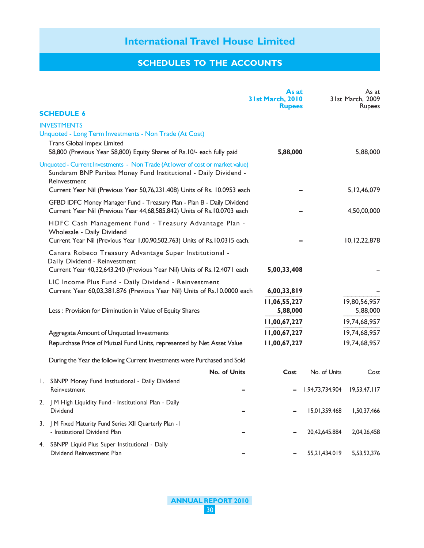|    |                                                                                                                                                                    | As at<br>31st March, 2010<br><b>Rupees</b> |                 | As at<br>31st March, 2009<br><b>Rupees</b> |
|----|--------------------------------------------------------------------------------------------------------------------------------------------------------------------|--------------------------------------------|-----------------|--------------------------------------------|
|    | <b>SCHEDULE 6</b>                                                                                                                                                  |                                            |                 |                                            |
|    | <b>INVESTMENTS</b><br>Unquoted - Long Term Investments - Non Trade (At Cost)                                                                                       |                                            |                 |                                            |
|    | Trans Global Impex Limited<br>58,800 (Previous Year 58,800) Equity Shares of Rs.10/- each fully paid                                                               | 5,88,000                                   |                 | 5,88,000                                   |
|    | Unquoted - Current Investments - Non Trade (At lower of cost or market value)<br>Sundaram BNP Paribas Money Fund Institutional - Daily Dividend -<br>Reinvestment  |                                            |                 |                                            |
|    | Current Year Nil (Previous Year 50,76,231.408) Units of Rs. 10.0953 each                                                                                           |                                            |                 | 5, 12, 46, 079                             |
|    | GFBD IDFC Money Manager Fund - Treasury Plan - Plan B - Daily Dividend<br>Current Year Nil (Previous Year 44,68,585.842) Units of Rs.10.0703 each                  |                                            |                 | 4,50,00,000                                |
|    | HDFC Cash Management Fund - Treasury Advantage Plan -<br>Wholesale - Daily Dividend                                                                                |                                            |                 |                                            |
|    | Current Year Nil (Previous Year 1,00,90,502.763) Units of Rs.10.0315 each.                                                                                         |                                            |                 | 10,12,22,878                               |
|    | Canara Robeco Treasury Advantage Super Institutional -<br>Daily Dividend - Reinvestment<br>Current Year 40,32,643.240 (Previous Year Nil) Units of Rs.12.4071 each | 5,00,33,408                                |                 |                                            |
|    |                                                                                                                                                                    |                                            |                 |                                            |
|    | LIC Income Plus Fund - Daily Dividend - Reinvestment<br>Current Year 60,03,381.876 (Previous Year Nil) Units of Rs.10.0000 each                                    | 6,00,33,819                                |                 |                                            |
|    | Less : Provision for Diminution in Value of Equity Shares                                                                                                          | 11,06,55,227<br>5,88,000                   |                 | 19,80,56,957<br>5,88,000                   |
|    |                                                                                                                                                                    | 11,00,67,227                               |                 | 19,74,68,957                               |
|    | Aggregate Amount of Unquoted Investments                                                                                                                           | 11,00,67,227                               |                 | 19,74,68,957                               |
|    | Repurchase Price of Mutual Fund Units, represented by Net Asset Value                                                                                              | 11,00,67,227                               |                 | 19,74,68,957                               |
|    | During the Year the following Current Investments were Purchased and Sold                                                                                          |                                            |                 |                                            |
|    | No. of Units                                                                                                                                                       | Cost                                       | No. of Units    | Cost                                       |
|    | I. SBNPP Money Fund Institutional - Daily Dividend<br>Reinvestment                                                                                                 |                                            | 1,94,73,734.904 | 19,53,47,117                               |
|    | 2.   M High Liquidity Fund - Institutional Plan - Daily<br><b>Dividend</b>                                                                                         |                                            | 15,01,359.468   | 1,50,37,466                                |
|    | 3. J M Fixed Maturity Fund Series XII Quarterly Plan - I<br>- Institutional Dividend Plan                                                                          |                                            | 20,42,645.884   | 2,04,26,458                                |
| 4. | SBNPP Liquid Plus Super Institutional - Daily<br>Dividend Reinvestment Plan                                                                                        |                                            | 55,21,434.019   | 5,53,52,376                                |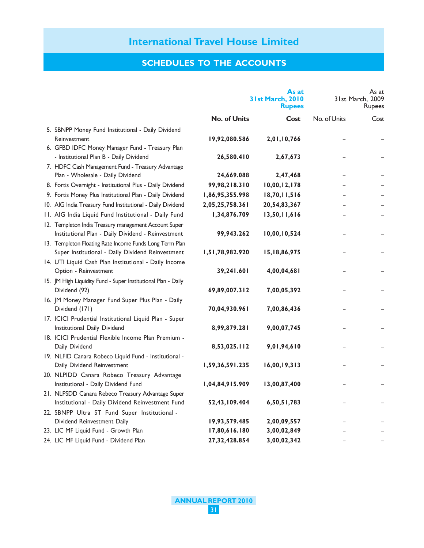|                                                                                                       |                     | As at<br><b>31st March, 2010</b><br><b>Rupees</b> |              | As at<br>31st March, 2009<br>Rupees |
|-------------------------------------------------------------------------------------------------------|---------------------|---------------------------------------------------|--------------|-------------------------------------|
|                                                                                                       | <b>No. of Units</b> | Cost                                              | No. of Units | Cost                                |
| 5. SBNPP Money Fund Institutional - Daily Dividend                                                    |                     |                                                   |              |                                     |
| Reinvestment                                                                                          | 19,92,080.586       | 2,01,10,766                                       |              |                                     |
| 6. GFBD IDFC Money Manager Fund - Treasury Plan                                                       |                     |                                                   |              |                                     |
| - Institutional Plan B - Daily Dividend                                                               | 26,580.410          | 2,67,673                                          |              |                                     |
| 7. HDFC Cash Management Fund - Treasury Advantage                                                     |                     |                                                   |              |                                     |
| Plan - Wholesale - Daily Dividend                                                                     | 24,669.088          | 2,47,468                                          |              |                                     |
| 8. Fortis Overnight - Institutional Plus - Daily Dividend                                             | 99,98,218.310       | 10,00,12,178                                      |              |                                     |
| 9. Fortis Money Plus Institutional Plan - Daily Dividend                                              | 1,86,95,355.998     | 18,70,11,516                                      |              |                                     |
| 10. AIG India Treasury Fund Institutional - Daily Dividend                                            | 2,05,25,758.361     | 20,54,83,367                                      |              |                                     |
| 11. AIG India Liquid Fund Institutional - Daily Fund                                                  | 1,34,876.709        | 13,50,11,616                                      |              |                                     |
| 12. Templeton India Treasury management Account Super                                                 |                     |                                                   |              |                                     |
| Institutional Plan - Daily Dividend - Reinvestment                                                    | 99,943.262          | 10,00,10,524                                      |              |                                     |
| 13. Templeton Floating Rate Income Funds Long Term Plan                                               |                     |                                                   |              |                                     |
| Super Institutional - Daily Dividend Reinvestment                                                     | 1,51,78,982.920     | 15,18,86,975                                      |              |                                     |
| 14. UTI Liquid Cash Plan Institutional - Daily Income                                                 |                     |                                                   |              |                                     |
| Option - Reinvestment                                                                                 | 39,241.601          | 4,00,04,681                                       |              |                                     |
| 15. JM High Liquidity Fund - Super Institutional Plan - Daily                                         |                     |                                                   |              |                                     |
| Dividend (92)                                                                                         | 69,89,007.312       | 7,00,05,392                                       |              |                                     |
| 16. JM Money Manager Fund Super Plus Plan - Daily                                                     |                     |                                                   |              |                                     |
| Dividend (171)                                                                                        | 70,04,930.961       | 7,00,86,436                                       |              |                                     |
| 17. ICICI Prudential Institutional Liquid Plan - Super                                                |                     |                                                   |              |                                     |
| Institutional Daily Dividend                                                                          | 8,99,879.281        | 9,00,07,745                                       |              |                                     |
| 18. ICICI Prudential Flexible Income Plan Premium -                                                   |                     |                                                   |              |                                     |
| Daily Dividend                                                                                        | 8,53,025.112        | 9,01,94,610                                       |              |                                     |
| 19. NLFID Canara Robeco Liquid Fund - Institutional -                                                 |                     |                                                   |              |                                     |
| Daily Dividend Reinvestment                                                                           | 1,59,36,591.235     | 16,00,19,313                                      |              |                                     |
| 20. NLPIDD Canara Robeco Treasury Advantage                                                           |                     |                                                   |              |                                     |
| Institutional - Daily Dividend Fund                                                                   | 1,04,84,915.909     | 13,00,87,400                                      |              |                                     |
| 21. NLPSDD Canara Rebeco Treasury Advantage Super<br>Institutional - Daily Dividend Reinvestment Fund | 52,43,109.404       | 6,50,51,783                                       |              |                                     |
| 22. SBNPP Ultra ST Fund Super Institutional -                                                         |                     |                                                   |              |                                     |
| Dividend Reinvestment Daily                                                                           | 19,93,579.485       | 2,00,09,557                                       |              |                                     |
| 23. LIC MF Liquid Fund - Growth Plan                                                                  | 17,80,616.180       | 3,00,02,849                                       |              |                                     |
| 24. LIC MF Liquid Fund - Dividend Plan                                                                | 27,32,428.854       | 3,00,02,342                                       |              |                                     |
|                                                                                                       |                     |                                                   |              |                                     |

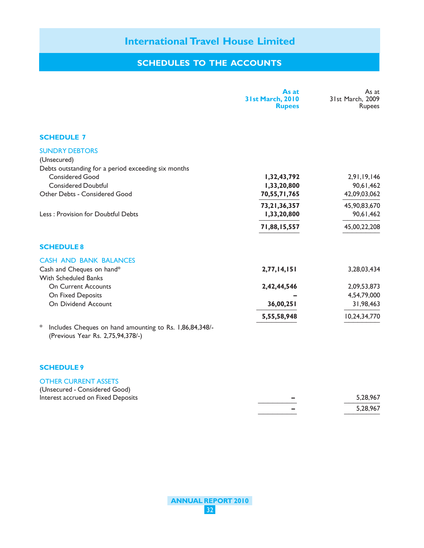# **SCHEDULES TO THE ACCOUNTS**

|                                                                                                   | As at<br><b>31st March, 2010</b><br><b>Rupees</b> | As at<br>31st March, 2009<br><b>Rupees</b> |
|---------------------------------------------------------------------------------------------------|---------------------------------------------------|--------------------------------------------|
| <b>SCHEDULE 7</b>                                                                                 |                                                   |                                            |
| <b>SUNDRY DEBTORS</b><br>(Unsecured)<br>Debts outstanding for a period exceeding six months       |                                                   |                                            |
| <b>Considered Good</b>                                                                            | 1,32,43,792                                       | 2,91,19,146                                |
| <b>Considered Doubtful</b>                                                                        | 1,33,20,800                                       | 90,61,462                                  |
| Other Debts - Considered Good                                                                     | 70,55,71,765                                      | 42,09,03,062                               |
|                                                                                                   | 73, 21, 36, 357                                   | 45,90,83,670                               |
| Less: Provision for Doubtful Debts                                                                | 1,33,20,800                                       | 90,61,462                                  |
|                                                                                                   | 71,88,15,557                                      | 45,00,22,208                               |
| <b>SCHEDULE 8</b>                                                                                 |                                                   |                                            |
| <b>CASH AND BANK BALANCES</b>                                                                     |                                                   |                                            |
| Cash and Cheques on hand*<br><b>With Scheduled Banks</b>                                          | 2,77,14,151                                       | 3,28,03,434                                |
| <b>On Current Accounts</b>                                                                        | 2,42,44,546                                       | 2,09,53,873                                |
| On Fixed Deposits                                                                                 |                                                   | 4,54,79,000                                |
| On Dividend Account                                                                               | 36,00,251                                         | 31,98,463                                  |
|                                                                                                   | 5,55,58,948                                       | 10,24,34,770                               |
| ∗<br>Includes Cheques on hand amounting to Rs. 1,86,84,348/-<br>(Previous Year Rs. 2,75,94,378/-) |                                                   |                                            |

#### **SCHEDULE 9**

#### OTHER CURRENT ASSETS

| (Unsecured - Considered Good)      |          |
|------------------------------------|----------|
| Interest accrued on Fixed Deposits | 5.28.967 |
|                                    | 5.28.967 |
|                                    |          |

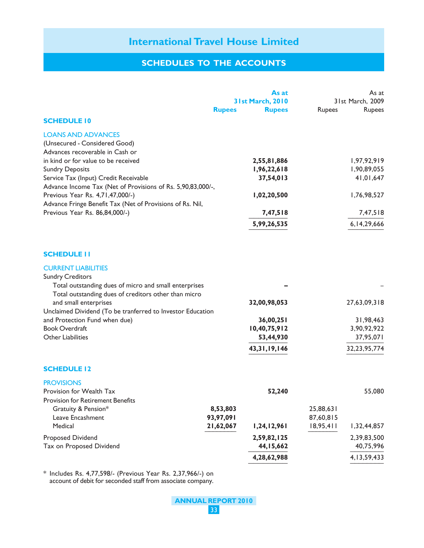# **SCHEDULES TO THE ACCOUNTS**

|                                                             |               | As at                   |               | As at            |
|-------------------------------------------------------------|---------------|-------------------------|---------------|------------------|
|                                                             |               | <b>31st March, 2010</b> |               | 31st March, 2009 |
|                                                             | <b>Rupees</b> | <b>Rupees</b>           | <b>Rupees</b> | Rupees           |
| <b>SCHEDULE 10</b>                                          |               |                         |               |                  |
| <b>LOANS AND ADVANCES</b>                                   |               |                         |               |                  |
| (Unsecured - Considered Good)                               |               |                         |               |                  |
| Advances recoverable in Cash or                             |               |                         |               |                  |
| in kind or for value to be received                         |               | 2,55,81,886             |               | 1,97,92,919      |
| <b>Sundry Deposits</b>                                      |               | 1,96,22,618             |               | 1,90,89,055      |
| Service Tax (Input) Credit Receivable                       |               | 37,54,013               |               | 41,01,647        |
| Advance Income Tax (Net of Provisions of Rs. 5,90,83,000/-, |               |                         |               |                  |
| Previous Year Rs. 4,71,47,000/-)                            |               | 1,02,20,500             |               | 1,76,98,527      |
| Advance Fringe Benefit Tax (Net of Provisions of Rs. Nil,   |               |                         |               |                  |
| Previous Year Rs. 86,84,000/-)                              |               | 7,47,518                |               | 7,47,518         |
|                                                             |               | 5,99,26,535             |               | 6, 14, 29, 666   |
|                                                             |               |                         |               |                  |
| <b>SCHEDULE II</b>                                          |               |                         |               |                  |
| <b>CURRENT LIABILITIES</b>                                  |               |                         |               |                  |
| <b>Sundry Creditors</b>                                     |               |                         |               |                  |
| Total outstanding dues of micro and small enterprises       |               |                         |               |                  |
| Total outstanding dues of creditors other than micro        |               |                         |               |                  |
| and small enterprises                                       |               | 32,00,98,053            |               | 27,63,09,318     |
| Unclaimed Dividend (To be tranferred to Investor Education  |               |                         |               |                  |
| and Protection Fund when due)                               |               | 36,00,251               |               | 31,98,463        |
| <b>Book Overdraft</b>                                       |               | 10,40,75,912            |               | 3,90,92,922      |
| <b>Other Liabilities</b>                                    |               | 53,44,930               |               | 37,95,071        |
|                                                             |               | 43, 31, 19, 146         |               | 32, 23, 95, 774  |
|                                                             |               |                         |               |                  |
| <b>SCHEDULE 12</b>                                          |               |                         |               |                  |
| <b>PROVISIONS</b>                                           |               |                         |               |                  |
| Provision for Wealth Tax                                    |               | 52,240                  |               | 55,080           |
| <b>Provision for Retirement Benefits</b>                    |               |                         |               |                  |
| Gratuity & Pension*                                         | 8,53,803      |                         | 25,88,631     |                  |
| Leave Encashment                                            | 93,97,091     |                         | 87,60,815     |                  |
| Medical                                                     | 21,62,067     | 1,24,12,961             | 18,95,411     | 1,32,44,857      |
| <b>Proposed Dividend</b>                                    |               | 2,59,82,125             |               | 2,39,83,500      |
| Tax on Proposed Dividend                                    |               | 44, 15, 662             |               | 40,75,996        |
|                                                             |               | 4,28,62,988             |               | 4, 13, 59, 433   |
|                                                             |               |                         |               |                  |

\* Includes Rs. 4,77,598/- (Previous Year Rs. 2,37,966/-) on account of debit for seconded staff from associate company.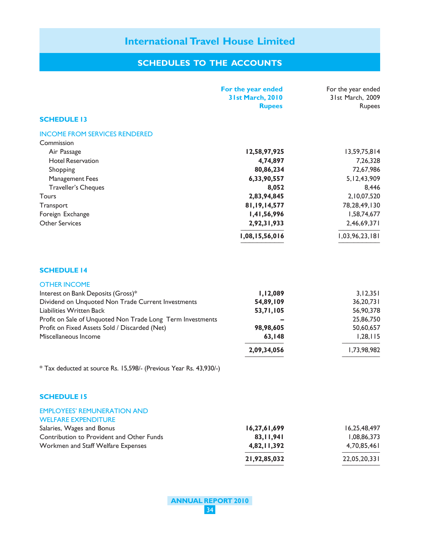|                                                                                | For the year ended<br>31st March, 2010<br><b>Rupees</b> | For the year ended<br>31st March, 2009<br>Rupees |
|--------------------------------------------------------------------------------|---------------------------------------------------------|--------------------------------------------------|
| <b>SCHEDULE 13</b>                                                             |                                                         |                                                  |
| <b>INCOME FROM SERVICES RENDERED</b><br>Commission                             |                                                         |                                                  |
| Air Passage                                                                    | 12,58,97,925                                            | 13,59,75,814                                     |
| <b>Hotel Reservation</b>                                                       | 4,74,897                                                | 7,26,328                                         |
| Shopping                                                                       | 80,86,234                                               | 72,67,986                                        |
| <b>Management Fees</b>                                                         | 6,33,90,557                                             | 5, 12, 43, 909                                   |
| Traveller's Cheques                                                            | 8,052                                                   | 8,446                                            |
| <b>Tours</b>                                                                   | 2,83,94,845                                             | 2,10,07,520                                      |
| Transport                                                                      | 81, 19, 14, 577                                         | 78, 28, 49, 130                                  |
| Foreign Exchange                                                               | 1,41,56,996                                             | 1,58,74,677                                      |
| <b>Other Services</b>                                                          | 2,92,31,933                                             | 2,46,69,371                                      |
|                                                                                | 1,08,15,56,016                                          | 1,03,96,23,181                                   |
| <b>SCHEDULE 14</b>                                                             |                                                         |                                                  |
| <b>OTHER INCOME</b>                                                            |                                                         |                                                  |
| Interest on Bank Deposits (Gross)*                                             | 1,12,089                                                | 3, 12, 351                                       |
| Dividend on Unquoted Non Trade Current Investments<br>Liabilities Written Back | 54,89,109                                               | 36,20,731                                        |
| Profit on Sale of Unquoted Non Trade Long Term Investments                     | 53,71,105                                               | 56,90,378<br>25,86,750                           |
| Profit on Fixed Assets Sold / Discarded (Net)                                  | 98,98,605                                               | 50,60,657                                        |
| Miscellaneous Income                                                           | 63,148                                                  | 1,28,115                                         |
|                                                                                |                                                         |                                                  |
|                                                                                | 2,09,34,056                                             | 1,73,98,982                                      |
| * Tax deducted at source Rs. 15,598/- (Previous Year Rs. 43,930/-)             |                                                         |                                                  |
| <b>SCHEDULE 15</b>                                                             |                                                         |                                                  |
| <b>EMPLOYEES' REMUNERATION AND</b><br><b>WELFARE EXPENDITURE</b>               |                                                         |                                                  |
| Salaries, Wages and Bonus                                                      | 16,27,61,699                                            | 16,25,48,497                                     |
| Contribution to Provident and Other Funds                                      | 83, 11, 941                                             | 1,08,86,373                                      |
| Workmen and Staff Welfare Expenses                                             | 4,82,11,392                                             | 4,70,85,461                                      |
|                                                                                | 21,92,85,032                                            | 22,05,20,331                                     |
|                                                                                |                                                         |                                                  |

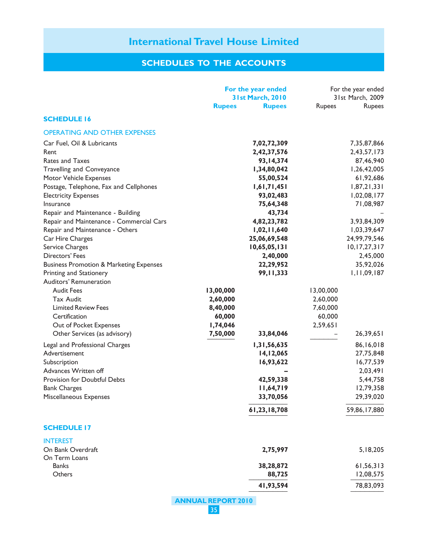|                                                                                                                                                                                                                                                             | For the year ended<br>31st March, 2010<br><b>Rupees</b><br><b>Rupees</b>                                       | For the year ended<br>31st March, 2009<br><b>Rupees</b><br><b>Rupees</b>                                       |
|-------------------------------------------------------------------------------------------------------------------------------------------------------------------------------------------------------------------------------------------------------------|----------------------------------------------------------------------------------------------------------------|----------------------------------------------------------------------------------------------------------------|
| <b>SCHEDULE 16</b>                                                                                                                                                                                                                                          |                                                                                                                |                                                                                                                |
| <b>OPERATING AND OTHER EXPENSES</b>                                                                                                                                                                                                                         |                                                                                                                |                                                                                                                |
| Car Fuel, Oil & Lubricants<br>Rent<br>Rates and Taxes<br><b>Travelling and Conveyance</b><br><b>Motor Vehicle Expenses</b><br>Postage, Telephone, Fax and Cellphones<br><b>Electricity Expenses</b><br>Insurance                                            | 7,02,72,309<br>2,42,37,576<br>93, 14, 374<br>1,34,80,042<br>55,00,524<br>1,61,71,451<br>93,02,483<br>75,64,348 | 7,35,87,866<br>2,43,57,173<br>87,46,940<br>1,26,42,005<br>61,92,686<br>1,87,21,331<br>1,02,08,177<br>71,08,987 |
| Repair and Maintenance - Building<br>Repair and Maintenance - Commercial Cars<br>Repair and Maintenance - Others<br>Car Hire Charges<br>Service Charges<br>Directors' Fees<br><b>Business Promotion &amp; Marketing Expenses</b><br>Printing and Stationery | 43,734<br>4,82,23,782<br>1,02,11,640<br>25,06,69,548<br>10,65,05,131<br>2,40,000<br>22,29,952<br>99, 11, 333   | 3,93,84,309<br>1,03,39,647<br>24,99,79,546<br>10, 17, 27, 317<br>2,45,000<br>35,92,026<br>1, 11, 09, 187       |
| Auditors' Remuneration<br><b>Audit Fees</b><br><b>Tax Audit</b><br><b>Limited Review Fees</b><br>Certification<br>Out of Pocket Expenses<br>Other Services (as advisory)                                                                                    | 13,00,000<br>2,60,000<br>8,40,000<br>60,000<br>1,74,046<br>7,50,000<br>33,84,046                               | 13,00,000<br>2,60,000<br>7,60,000<br>60,000<br>2,59,651<br>26,39,651                                           |
| Legal and Professional Charges<br>Advertisement<br>Subscription<br>Advances Written off<br><b>Provision for Doubtful Debts</b><br><b>Bank Charges</b><br>Miscellaneous Expenses                                                                             | 1,31,56,635<br>14,12,065<br>16,93,622<br>42,59,338<br>11,64,719<br>33,70,056<br>61,23,18,708                   | 86,16,018<br>27,75,848<br>16,77,539<br>2,03,491<br>5,44,758<br>12,79,358<br>29,39,020<br>59,86,17,880          |
| <b>SCHEDULE 17</b>                                                                                                                                                                                                                                          |                                                                                                                |                                                                                                                |
| <b>INTEREST</b><br>On Bank Overdraft<br>On Term Loans<br><b>Banks</b>                                                                                                                                                                                       | 2,75,997<br>38,28,872                                                                                          | 5, 18, 205<br>61,56,313                                                                                        |
| Others                                                                                                                                                                                                                                                      | 88,725<br>41,93,594                                                                                            | 12,08,575<br>78,83,093                                                                                         |
|                                                                                                                                                                                                                                                             |                                                                                                                |                                                                                                                |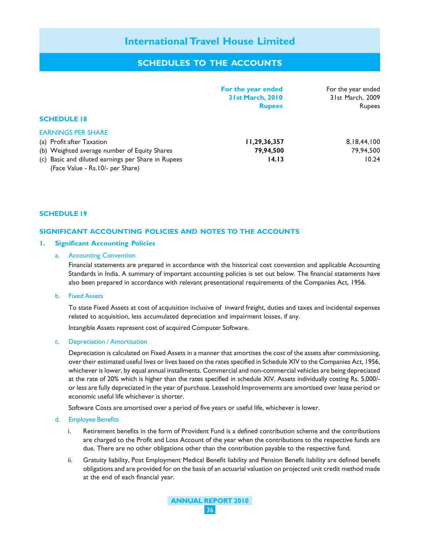# **SCHEDULES TO THE ACCOUNTS**

|                                                    | For the year ended<br><b>31st March, 2010</b><br><b>Rupees</b> | For the year ended<br>31st March, 2009<br><b>Rupees</b> |
|----------------------------------------------------|----------------------------------------------------------------|---------------------------------------------------------|
| <b>SCHEDULE 18</b>                                 |                                                                |                                                         |
| <b>EARNINGS PER SHARE</b>                          |                                                                |                                                         |
| (a) Profit after Taxation                          | 11,29,36,357                                                   | 8, 18, 44, 100                                          |
| (b) Weighted average number of Equity Shares       | 79,94,500                                                      | 79,94,500                                               |
| (c) Basic and diluted earnings per Share in Rupees | 14.13                                                          | 10.24                                                   |
| (Face Value - Rs. 10/- per Share)                  |                                                                |                                                         |

#### **SCHEDULE 19**

#### **SIGNIFICANT ACCOUNTING POLICIES AND NOTES TO THE ACCOUNTS**

#### **1. Significant Accounting Policies**

#### a. Accounting Convention

Financial statements are prepared in accordance with the historical cost convention and applicable Accounting Standards in India. A summary of important accounting policies is set out below. The financial statements have also been prepared in accordance with relevant presentational requirements of the Companies Act, 1956.

b. Fixed Assets

To state Fixed Assets at cost of acquisition inclusive of inward freight, duties and taxes and incidental expenses related to acquisition, less accumulated depreciation and impairment losses, if any.

Intangible Assets represent cost of acquired Computer Software.

#### c. Depreciation / Amortisation

Depreciation is calculated on Fixed Assets in a manner that amortises the cost of the assets after commissioning, over their estimated useful lives or lives based on the rates specified in Schedule XIV to the Companies Act, 1956, whichever is lower, by equal annual installments. Commercial and non-commercial vehicles are being depreciated at the rate of 20% which is higher than the rates specified in schedule XIV. Assets individually costing Rs. 5,000/ or less are fully depreciated in the year of purchase. Leasehold Improvements are amortised over lease period or economic useful life whichever is shorter.

Software Costs are amortised over a period of five years or useful life, whichever is lower.

#### d. Employee Benefits

- i. Retirement benefits in the form of Provident Fund is a defined contribution scheme and the contributions are charged to the Profit and Loss Account of the year when the contributions to the respective funds are due. There are no other obligations other than the contribution payable to the respective fund.
- ii. Gratuity liability, Post Employment Medical Benefit liability and Pension Benefit liability are defined benefit obligations and are provided for on the basis of an actuarial valuation on projected unit credit method made at the end of each financial year.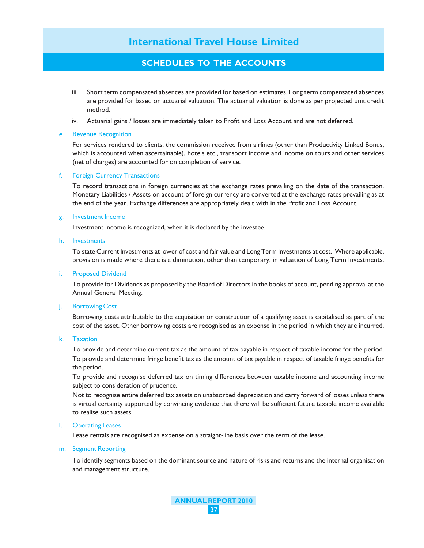# **SCHEDULES TO THE ACCOUNTS**

- iii. Short term compensated absences are provided for based on estimates. Long term compensated absences are provided for based on actuarial valuation. The actuarial valuation is done as per projected unit credit method.
- iv. Actuarial gains / losses are immediately taken to Profit and Loss Account and are not deferred.

#### e. Revenue Recognition

For services rendered to clients, the commission received from airlines (other than Productivity Linked Bonus, which is accounted when ascertainable), hotels etc., transport income and income on tours and other services (net of charges) are accounted for on completion of service.

#### f. Foreign Currency Transactions

To record transactions in foreign currencies at the exchange rates prevailing on the date of the transaction. Monetary Liabilities / Assets on account of foreign currency are converted at the exchange rates prevailing as at the end of the year. Exchange differences are appropriately dealt with in the Profit and Loss Account.

#### g. Investment Income

Investment income is recognized, when it is declared by the investee.

#### h. Investments

To state Current Investments at lower of cost and fair value and Long Term Investments at cost. Where applicable, provision is made where there is a diminution, other than temporary, in valuation of Long Term Investments.

#### i. Proposed Dividend

To provide for Dividends as proposed by the Board of Directors in the books of account, pending approval at the Annual General Meeting.

#### j. Borrowing Cost

Borrowing costs attributable to the acquisition or construction of a qualifying asset is capitalised as part of the cost of the asset. Other borrowing costs are recognised as an expense in the period in which they are incurred.

#### k. Taxation

To provide and determine current tax as the amount of tax payable in respect of taxable income for the period. To provide and determine fringe benefit tax as the amount of tax payable in respect of taxable fringe benefits for the period.

To provide and recognise deferred tax on timing differences between taxable income and accounting income subject to consideration of prudence.

Not to recognise entire deferred tax assets on unabsorbed depreciation and carry forward of losses unless there is virtual certainty supported by convincing evidence that there will be sufficient future taxable income available to realise such assets.

#### l. Operating Leases

Lease rentals are recognised as expense on a straight-line basis over the term of the lease.

#### m. Segment Reporting

To identify segments based on the dominant source and nature of risks and returns and the internal organisation and management structure.

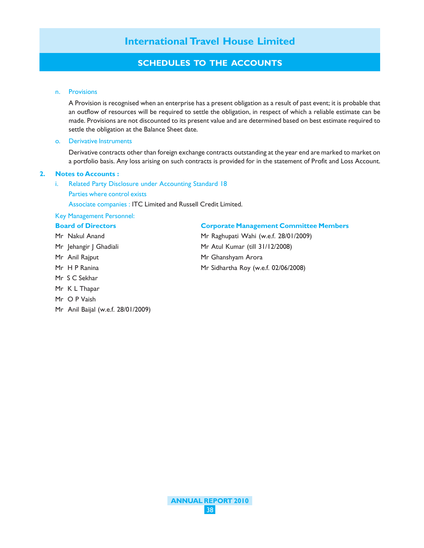# **SCHEDULES TO THE ACCOUNTS**

#### n. Provisions

A Provision is recognised when an enterprise has a present obligation as a result of past event; it is probable that an outflow of resources will be required to settle the obligation, in respect of which a reliable estimate can be made. Provisions are not discounted to its present value and are determined based on best estimate required to settle the obligation at the Balance Sheet date.

#### o. Derivative Instruments

Derivative contracts other than foreign exchange contracts outstanding at the year end are marked to market on a portfolio basis. Any loss arising on such contracts is provided for in the statement of Profit and Loss Account.

#### **2. Notes to Accounts :**

- i. Related Party Disclosure under Accounting Standard 18
	- Parties where control exists

Associate companies : ITC Limited and Russell Credit Limited.

### Key Management Personnel:

#### **Board of Directors Corporate Management Committee Members**

- Mr Nakul Anand Mr Raghupati Wahi (w.e.f. 28/01/2009) Mr Jehangir J Ghadiali Mr Atul Kumar (till 31/12/2008) Mr Anil Rajput Mr Ghanshyam Arora Mr H P Ranina Mr Sidhartha Roy (w.e.f. 02/06/2008) Mr S C Sekhar Mr K L Thapar
- Mr O P Vaish
- Mr Anil Baijal (w.e.f. 28/01/2009)

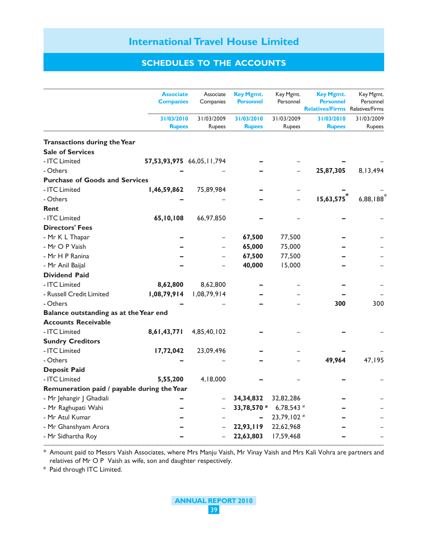# **SCHEDULES TO THE ACCOUNTS**

|                                             | <b>Associate</b><br><b>Companies</b> | Associate<br>Companies      | <b>Key Mgmt.</b><br><b>Personnel</b> | Key Mgmt.<br>Personnel      | <b>Key Mgmt.</b><br><b>Personnel</b><br><b>Relatives/Firms</b> | Key Mgmt.<br>Personnel<br><b>Relatives/Firms</b> |
|---------------------------------------------|--------------------------------------|-----------------------------|--------------------------------------|-----------------------------|----------------------------------------------------------------|--------------------------------------------------|
|                                             | 31/03/2010<br><b>Rupees</b>          | 31/03/2009<br><b>Rupees</b> | 31/03/2010<br><b>Rupees</b>          | 31/03/2009<br><b>Rupees</b> | 31/03/2010<br><b>Rupees</b>                                    | 31/03/2009<br><b>Rupees</b>                      |
| Transactions during the Year                |                                      |                             |                                      |                             |                                                                |                                                  |
| <b>Sale of Services</b>                     |                                      |                             |                                      |                             |                                                                |                                                  |
| - ITC Limited                               | 57,53,93,975 66,05, 11,794           |                             |                                      |                             |                                                                |                                                  |
| - Others                                    |                                      |                             |                                      |                             | 25,87,305                                                      | 8,13,494                                         |
| <b>Purchase of Goods and Services</b>       |                                      |                             |                                      |                             |                                                                |                                                  |
| - ITC Limited                               | 1,46,59,862                          | 75,89,984                   |                                      |                             |                                                                |                                                  |
| - Others                                    |                                      |                             |                                      |                             | 15,63,575                                                      | 6,88,188                                         |
| Rent                                        |                                      |                             |                                      |                             |                                                                |                                                  |
| - ITC Limited                               | 65,10,108                            | 66,97,850                   |                                      |                             |                                                                |                                                  |
| <b>Directors' Fees</b>                      |                                      |                             |                                      |                             |                                                                |                                                  |
| - Mr K L Thapar                             |                                      |                             | 67,500                               | 77,500                      |                                                                |                                                  |
| - Mr O P Vaish                              |                                      |                             | 65,000                               | 75,000                      |                                                                |                                                  |
| - Mr H P Ranina                             |                                      |                             | 67,500                               | 77,500                      |                                                                |                                                  |
| - Mr Anil Baijal                            |                                      |                             | 40,000                               | 15,000                      |                                                                |                                                  |
| <b>Dividend Paid</b>                        |                                      |                             |                                      |                             |                                                                |                                                  |
| - ITC Limited                               | 8,62,800                             | 8,62,800                    |                                      |                             |                                                                |                                                  |
| - Russell Credit Limited                    | 1,08,79,914                          | 1,08,79,914                 |                                      |                             |                                                                |                                                  |
| - Others                                    |                                      |                             |                                      |                             | 300                                                            | 300                                              |
| Balance outstanding as at the Year end      |                                      |                             |                                      |                             |                                                                |                                                  |
| <b>Accounts Receivable</b>                  |                                      |                             |                                      |                             |                                                                |                                                  |
| - ITC Limited                               | 8,61,43,771                          | 4,85,40,102                 |                                      |                             |                                                                |                                                  |
| <b>Sundry Creditors</b>                     |                                      |                             |                                      |                             |                                                                |                                                  |
| - ITC Limited                               | 17,72,042                            | 23,09,496                   |                                      |                             |                                                                |                                                  |
| - Others                                    |                                      |                             |                                      |                             | 49,964                                                         | 47,195                                           |
| <b>Deposit Paid</b>                         |                                      |                             |                                      |                             |                                                                |                                                  |
| - ITC Limited                               | 5,55,200                             | 4,18,000                    |                                      |                             |                                                                |                                                  |
| Remuneration paid / payable during the Year |                                      |                             |                                      |                             |                                                                |                                                  |
| - Mr Jehangir J Ghadiali                    |                                      |                             | 34, 34, 832                          | 32,82,286                   |                                                                |                                                  |
| - Mr Raghupati Wahi                         |                                      |                             | 33,78,570 #                          | 6,78,543 $#$                |                                                                |                                                  |
| - Mr Atul Kumar                             |                                      |                             |                                      | 23,79,102 #                 |                                                                |                                                  |
| - Mr Ghanshyam Arora                        |                                      |                             | 22,93,119                            | 22,62,968                   |                                                                |                                                  |
| - Mr Sidhartha Roy                          |                                      |                             | 22,63,803                            | 17,59,468                   |                                                                |                                                  |

\* Amount paid to Messrs Vaish Associates, where Mrs Manju Vaish, Mr Vinay Vaish and Mrs Kali Vohra are partners and relatives of Mr O P Vaish as wife, son and daughter respectively.

# Paid through ITC Limited.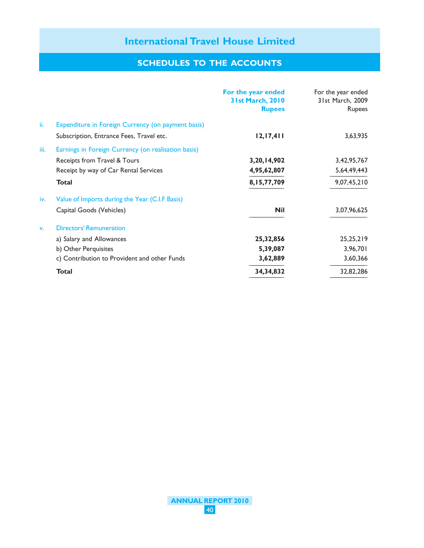|      |                                                     | For the year ended<br><b>31st March, 2010</b><br><b>Rupees</b> | For the year ended<br>31st March, 2009<br><b>Rupees</b> |
|------|-----------------------------------------------------|----------------------------------------------------------------|---------------------------------------------------------|
| ii.  | Expenditure in Foreign Currency (on payment basis)  |                                                                |                                                         |
|      | Subscription, Entrance Fees, Travel etc.            | 12, 17, 411                                                    | 3,63,935                                                |
| iii. | Earnings in Foreign Currency (on realisation basis) |                                                                |                                                         |
|      | Receipts from Travel & Tours                        | 3,20,14,902                                                    | 3,42,95,767                                             |
|      | Receipt by way of Car Rental Services               | 4,95,62,807                                                    | 5,64,49,443                                             |
|      | <b>Total</b>                                        | 8,15,77,709                                                    | 9,07,45,210                                             |
| iv.  | Value of Imports during the Year (C.I.F Basis)      |                                                                |                                                         |
|      | Capital Goods (Vehicles)                            | <b>Nil</b>                                                     | 3,07,96,625                                             |
| v.   | <b>Directors' Remuneration</b>                      |                                                                |                                                         |
|      | a) Salary and Allowances                            | 25,32,856                                                      | 25,25,219                                               |
|      | b) Other Perquisites                                | 5,39,087                                                       | 3,96,701                                                |
|      | c) Contribution to Provident and other Funds        | 3,62,889                                                       | 3,60,366                                                |
|      | <b>Total</b>                                        | 34, 34, 832                                                    | 32,82,286                                               |

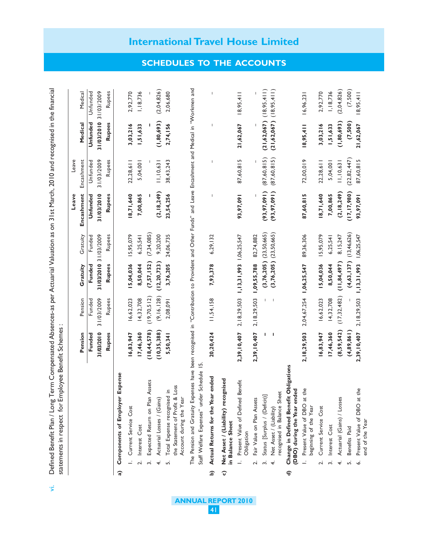|   |                                                                                                                                                                                                      |                |                |                                   |                            | Leave         | Leave                                 |                             |             |
|---|------------------------------------------------------------------------------------------------------------------------------------------------------------------------------------------------------|----------------|----------------|-----------------------------------|----------------------------|---------------|---------------------------------------|-----------------------------|-------------|
|   |                                                                                                                                                                                                      | Pension        | Pension        | Gratuity                          | Gratuity                   | Encashment    | Encashment                            | Medical                     | Medical     |
|   |                                                                                                                                                                                                      | Funded         | Funded         | Funded                            | Funded                     | Unfunded      | Unfunded                              | Unfunded                    | Unfunded    |
|   |                                                                                                                                                                                                      | 31/03/2010     | 31/03/2009     | 31/03/2010                        | 31/03/2009                 | 31/03/2010    | 31/03/2009                            | 31/03/2010                  | 31/03/2009  |
|   |                                                                                                                                                                                                      | Rupees         | Rupees         | <b>Rupees</b>                     | Rupees                     | <b>Rupees</b> | Rupees                                | <b>Rupees</b>               | Rupees      |
| ನ | Expense<br>Components of Employer                                                                                                                                                                    |                |                |                                   |                            |               |                                       |                             |             |
|   | Current Service Cost                                                                                                                                                                                 | 16,83,947      | 16,62,023      | 15,04,036                         | 15,95,079                  | 18,71,640     | 22,28,611                             | 3,03,216                    | 2,92,770    |
|   | Interest Cost<br>نہ                                                                                                                                                                                  | 17,46,360      | 14,32,708      | 8,50,044                          | 6,25,541                   | 7,00,865      | 5,04,001                              | 1,51,633                    | 1,18,736    |
|   | Assets<br>Expected Return on Plan<br>ب<br>س                                                                                                                                                          | (18, 44, 578)  | (19, 70, 512)  | (7,57,152)                        | (7,34,085)                 |               |                                       |                             |             |
|   | Actuarial Losses / (Gains)<br>4.                                                                                                                                                                     | (10, 35, 388)  | (9, 16, 128)   | (12, 20, 723)                     | 9,20,200                   | (2, 18, 249)  | 11, 10, 631                           | (1,80,693)                  | (2.04, 826) |
|   | Loss<br>Total Expense recognised in<br>the Statement of Profit &<br>Account during the Year<br>ட்                                                                                                    | 5,50,341       | 2,08,091       | 3,76,205                          | 24,06,735                  | 23,54,256     | 38,43,243                             | 2,74,156                    | 2,06,680    |
|   | The Pension and Gratuity Expenses have been recognised in "Contribution to Provident and Other Funds" and Leave Encashment and Medical in "Workmen and<br>Staff Welfare Expenses" under Schedule 15. |                |                |                                   |                            |               |                                       |                             |             |
| ଢ | Actual Returns for the Year ended                                                                                                                                                                    | 20,20,424      | 11,54,158      | 7,93,378                          | 6,29,132                   |               | $\begin{array}{c} \hline \end{array}$ |                             |             |
| ၀ | Net Asset / (Liability) recognised<br>in Balance Sheet                                                                                                                                               |                |                |                                   |                            |               |                                       |                             |             |
|   | Benefit<br>Present Value of Defined<br>Obligation                                                                                                                                                    | 2,39,10,407    | 2, 18, 29, 503 | $1, 13, 31, 993$ $1, 06, 25, 547$ |                            | 93,97,091     | 87,60,815                             | 21,62,067                   | 18,95,411   |
|   | Fair Value on Plan Assets<br>ς.                                                                                                                                                                      | 2,39,10,407    | 2, 18, 29, 503 | 1,09,55,788                       | 82,74,882                  |               |                                       |                             |             |
|   | Status [Surplus / (Deficit)]<br>$\ddot{ }$                                                                                                                                                           |                |                |                                   | $(3,76,205)$ $(23,50,665)$ | (93, 97, 091) | (87,60,815)                           | $(21,62,067)$ $(18,95,411)$ |             |
|   | recognised in Balance Sheet<br>Net Asset / (Liability)<br>$\overline{+}$                                                                                                                             |                |                |                                   | $(3,76,205)$ $(23,50,665)$ | (93, 97, 091) | (87,60,815)                           | (21, 62, 067)               | (18,95,411) |
| € | Obligations<br>(DBO) during the Year ended<br>Change in Defined Benefit                                                                                                                              |                |                |                                   |                            |               |                                       |                             |             |
|   | the<br>Present Value of DBO at<br>beginning of the Year                                                                                                                                              | 2, 18, 29, 503 | 2,04,67,254    | 1,06,25,547                       | 89,36,306                  | 87,60,815     | 72,00,019                             | 18,95,411                   | 16,96,231   |
|   | Current Service Cost<br>$\mathbf{r}$                                                                                                                                                                 | 16,83,947      | 16,62,023      | 15,04,036                         | 15,95,079                  | 18,71,640     | 22,28,611                             | 3,03,216                    | 2,92,770    |
|   | Interest Cost<br>ب<br>س                                                                                                                                                                              | 17,46,360      | 14,32,708      | 8,50,044                          | 6,25,541                   | 7,00,865      | 5,04,001                              | 1,51,633                    | 1,18,736    |
|   | Actuarial (Gains) / Losses<br>4.                                                                                                                                                                     | (8,59,542)     | (17, 32, 482)  | (11, 84, 497)                     | 8, 15, 247                 | (2, 18, 249)  | 11, 10, 63                            | (1,80,693)                  | (2,04,826)  |
|   | Benefits Paid<br>ம                                                                                                                                                                                   | (4, 89, 861)   |                | (4,63,137)                        | (13, 46, 626)              | (17, 17, 980) | (22, 82, 447)                         | (7,500)                     | (7,500)     |
|   | the<br>Present Value of DBO at<br>end of the Year<br>ݥ                                                                                                                                               | 2,39,10,407    | 2,18,29,503    | 1,13,31,993                       | 1,06,25,547                | 93,97,09      | 87,60,815                             | 21,62,067                   | 18,95,41    |

Defined Benefit Plan / Long Term Compensated Absences-as per Actuarial Valuation as on 31st March, 2010 and recognised in the financial vi. Defined Benefit Plan / Long Term Compensated Absences-as per Actuarial Valuation as on 31st March, 2010 and recognised in the financial statements in respect for Employee Benefit Schemes: statements in respect for Employee Benefit Schemes :

 $\vec{z}$ 

# **SCHEDULES TO THE ACCOUNTS**

**International Travel House Limited**

**ANNUAL REPORT 2010**

41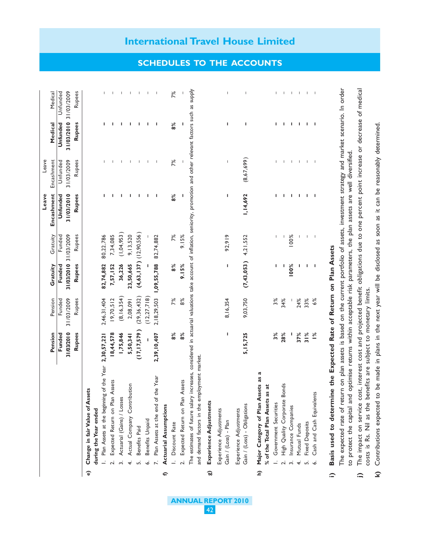|                                                                                                                                                                                                                        |               |                |               |               | Encashment | Encashment               | Medical       | Medical                  |
|------------------------------------------------------------------------------------------------------------------------------------------------------------------------------------------------------------------------|---------------|----------------|---------------|---------------|------------|--------------------------|---------------|--------------------------|
|                                                                                                                                                                                                                        | Funded        | Funded         | Funded        | Funded        | Unfunded   | Unfunded                 | Unfunded      | Unfunded                 |
|                                                                                                                                                                                                                        | 31/03/2010    | 31/03/2009     | 31/03/2010    | 31/03/2009    | 31/03/2010 | 31/03/2009               | 31/03/2010    | 31/03/2009               |
|                                                                                                                                                                                                                        | <b>Rupees</b> | Rupees         | <b>Rupees</b> | Rupees        | Rupees     | Rupees                   | <b>Rupees</b> | Rupees                   |
| Change in fair Value of Assets<br>$\widehat{\mathbf{e}}$                                                                                                                                                               |               |                |               |               |            |                          |               |                          |
| during the Year ended                                                                                                                                                                                                  |               |                |               |               |            |                          |               |                          |
| I. Plan Assets at the beginning of the Year 2,30,57,221                                                                                                                                                                |               | 2,46,31,404    | 82,74,882     | 80,22,786     | п          |                          | п             |                          |
| Expected Return on Plan Assets                                                                                                                                                                                         | 18,44,578     | 19,70,512      | 7,57,152      | 7,34,085      | ı          |                          | ı             |                          |
| Actuarial (Gains) / Losses                                                                                                                                                                                             | 1,75,846      | (8, 16, 354)   | 36,226        | (1,04,953)    | п          | ı                        | I.            |                          |
| Actual Company Contribution<br>$\ddot{+}$                                                                                                                                                                              | 5,50,341      | 2,08,091       | 23,50,665     | 9, 13, 520    | п          | T                        | п             |                          |
| Benefits Paid                                                                                                                                                                                                          | (17, 17, 579) | (29, 36, 432)  | (4,63,137)    | (12, 90, 556) | ı          | J.                       | т             |                          |
| Benefits Unpaid<br>نی                                                                                                                                                                                                  |               | (12, 27, 718)  |               |               | т          | T                        | J.            | T                        |
| the Year<br>Plan Assets at the end of                                                                                                                                                                                  | 2,39,10,407   | 2, 18, 29, 503 | 1,09,55,788   | 82,74,882     | J          | T                        | J,            |                          |
| <b>Actuarial Assumptions</b><br>€                                                                                                                                                                                      |               |                |               |               |            |                          |               |                          |
| Discount Rate                                                                                                                                                                                                          | 8%            | 7%             | 8%            | 7%            | 8%         | 7%                       | 8%            | 7%                       |
| Expected Return on Plan Assets<br><u>.</u>                                                                                                                                                                             | 8%            | 8%             | 9.15%         | 9.15%         |            |                          |               |                          |
| The estimates of future salary increases, considered in actuarial valuations take account of inflation, seniority, promotion and other relevant factors such as supply<br>and demand factors in the employment market. |               |                |               |               |            |                          |               |                          |
| Experience Adjustments<br>ದ                                                                                                                                                                                            |               |                |               |               |            |                          |               |                          |
| Experience Adjustments<br>Gain / (Loss) - Plan                                                                                                                                                                         | ı             | 8, 16, 354     | I.            | 92,919        | ı          | T                        | ı             | т                        |
| Gain / (Loss) - Obligations<br>Experience Adjustments                                                                                                                                                                  | 5, 15, 725    | 9,03,750       | (7, 43, 053)  | 4,21,552      | 1,14,692   | (8,67,699)               | п             | $\overline{\phantom{a}}$ |
| ಡ<br>Major Category of Plan Assets as<br>$\hat{c}$                                                                                                                                                                     |               |                |               |               |            |                          |               |                          |
| is at<br>% of the Total Plan Assets a                                                                                                                                                                                  |               |                |               |               |            |                          |               |                          |
| Government Securities                                                                                                                                                                                                  | 3%            | 3%             | ı             | T             | п          | L                        | п             |                          |
| 2. High Quality Corporate Bonds                                                                                                                                                                                        | 28%           | 34%            | ı             |               | ı          | т                        | ı             |                          |
| Insurance Companies<br>$\ddot{ }$                                                                                                                                                                                      | ı             |                | 100%          | 100%          | T          | $\mathbb T$              | ı             | л.                       |
| Mutual Funds<br>$\ddot{+}$                                                                                                                                                                                             | 37%           | 24%            | т             | T             | т.         | $\mathsf I$              | т             | т.                       |
| <b>Fixed Deposits</b>                                                                                                                                                                                                  | 31%           | 33%            | ı             | J.            | т          | $\mathsf I$              | т             | Τ.                       |
| ņ<br>Cash and Cash Equivalent                                                                                                                                                                                          | $\frac{5}{6}$ | 6%             | J.            | $\mathsf I$   | J.         | $\overline{\phantom{a}}$ | J.            |                          |

**ANNUAL REPORT 2010** 42

The expected rate of return on plan assets is based on the current portfolio of assets, investment strategy and market scenario. In order The experience are on the capital and optimise returns within acceptable risk parameters, the plan assets are well diversified. to protect the capital and optimise returns within acceptable risk parameters, the plan assets are well diversified.

- The impact on service cost, interest cost and projected benefit obligations due to one percent point increase or decrease of medical **j)** The impact on service cost, interest cost and projected benefit obligations due to one percent point increase or decrease of medical costs is Rs. Nil as the benefits are subject to monetary limits. costs is Rs. Nil as the benefits are subject to monetary limits.  $\hat{=}$ 
	- Contributions expected to be made in plans in the next year will be disclosed as soon as it can be reasonably determined. **k)** Contributions expected to be made in plans in the next year will be disclosed as soon as it can be reasonably determined.  $\hat{z}$

# **International Travel House Limited**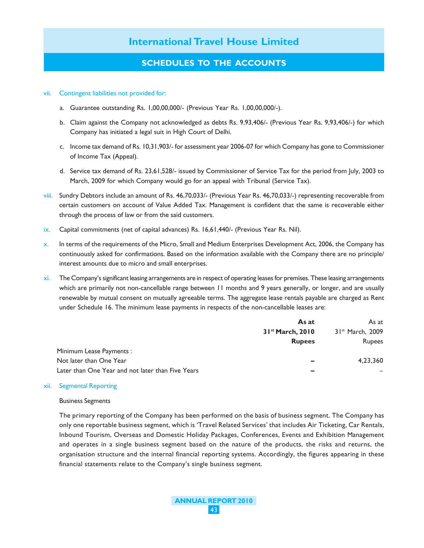# **SCHEDULES TO THE ACCOUNTS**

#### vii. Contingent liabilities not provided for:

- a. Guarantee outstanding Rs. 1,00,00,000/- (Previous Year Rs. 1,00,00,000/-).
- b. Claim against the Company not acknowledged as debts Rs. 9,93,406/- (Previous Year Rs. 9,93,406/-) for which Company has initiated a legal suit in High Court of Delhi.
- c. Income tax demand of Rs. 10,31,903/- for assessment year 2006-07 for which Company has gone to Commissioner of Income Tax (Appeal).
- d. Service tax demand of Rs. 23,61,528/- issued by Commissioner of Service Tax for the period from July, 2003 to March, 2009 for which Company would go for an appeal with Tribunal (Service Tax).
- viii. Sundry Debtors include an amount of Rs. 46,70,033/- (Previous Year Rs. 46,70,033/-) representing recoverable from certain customers on account of Value Added Tax. Management is confident that the same is recoverable either through the process of law or from the said customers.
- ix. Capital commitments (net of capital advances) Rs. 16,61,440/- (Previous Year Rs. Nil).
- x. In terms of the requirements of the Micro, Small and Medium Enterprises Development Act, 2006, the Company has continuously asked for confirmations. Based on the information available with the Company there are no principle/ interest amounts due to micro and small enterprises.
- xi. The Company's significant leasing arrangements are in respect of operating leases for premises. These leasing arrangements which are primarily not non-cancellable range between 11 months and 9 years generally, or longer, and are usually renewable by mutual consent on mutually agreeable terms. The aggregate lease rentals payable are charged as Rent under Schedule 16. The minimum lease payments in respects of the non-cancellable leases are:

|                                                   | As at                         | As at                        |
|---------------------------------------------------|-------------------------------|------------------------------|
|                                                   | 3 I <sup>st</sup> March, 2010 | 31 <sup>st</sup> March, 2009 |
|                                                   | <b>Rupees</b>                 | <b>Rupees</b>                |
| Minimum Lease Payments:                           |                               |                              |
| Not later than One Year                           | -                             | 4.23.360                     |
| Later than One Year and not later than Five Years | -                             |                              |

#### xii. Segmental Reporting

#### Business Segments

The primary reporting of the Company has been performed on the basis of business segment. The Company has only one reportable business segment, which is 'Travel Related Services' that includes Air Ticketing, Car Rentals, Inbound Tourism, Overseas and Domestic Holiday Packages, Conferences, Events and Exhibition Management and operates in a single business segment based on the nature of the products, the risks and returns, the organisation structure and the internal financial reporting systems. Accordingly, the figures appearing in these financial statements relate to the Company's single business segment.

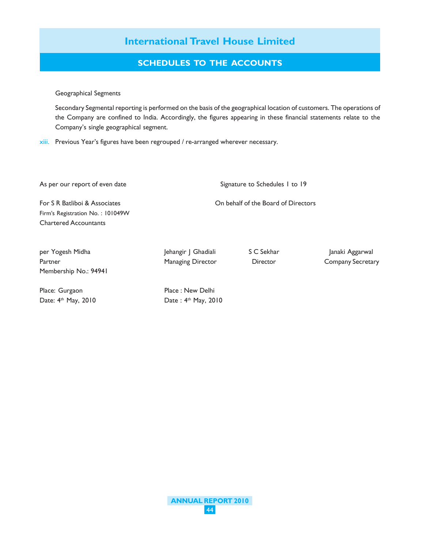# **SCHEDULES TO THE ACCOUNTS**

Geographical Segments

Secondary Segmental reporting is performed on the basis of the geographical location of customers. The operations of the Company are confined to India. Accordingly, the figures appearing in these financial statements relate to the Company's single geographical segment.

xiii. Previous Year's figures have been regrouped / re-arranged wherever necessary.

As per our report of even date Signature to Schedules 1 to 19

For S R Batliboi & Associates On behalf of the Board of Directors Firm's Registration No. : 101049W Chartered Accountants

per Yogesh Midha Jehangir J Ghadiali S C Sekhar Janaki Aggarwal Partner **Managing Director** Director **Company Secretary** Director Company Secretary Membership No.: 94941

Place: Gurgaon Place : New Delhi Date: 4<sup>th</sup> May, 2010 Date : 4<sup>th</sup> May, 2010

**ANNUAL REPORT 2010** 44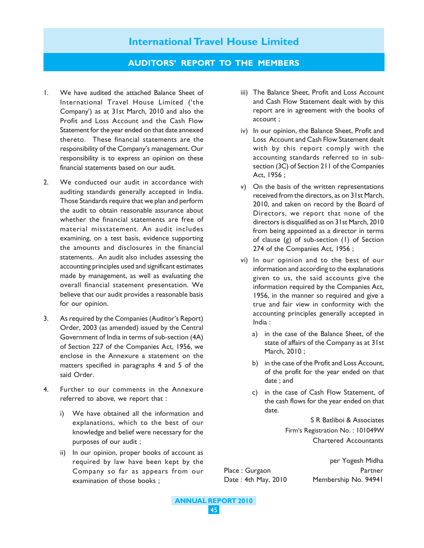### **AUDITORS' REPORT TO THE MEMBERS**

- 1. We have audited the attached Balance Sheet of International Travel House Limited ('the Company') as at 31st March, 2010 and also the Profit and Loss Account and the Cash Flow Statement for the year ended on that date annexed thereto. These financial statements are the responsibility of the Company's management. Our responsibility is to express an opinion on these financial statements based on our audit.
- 2. We conducted our audit in accordance with auditing standards generally accepted in India. Those Standards require that we plan and perform the audit to obtain reasonable assurance about whether the financial statements are free of material misstatement. An audit includes examining, on a test basis, evidence supporting the amounts and disclosures in the financial statements. An audit also includes assessing the accounting principles used and significant estimates made by management, as well as evaluating the overall financial statement presentation. We believe that our audit provides a reasonable basis for our opinion.
- 3. As required by the Companies (Auditor's Report) Order, 2003 (as amended) issued by the Central Government of India in terms of sub-section (4A) of Section 227 of the Companies Act, 1956, we enclose in the Annexure a statement on the matters specified in paragraphs 4 and 5 of the said Order.
- 4. Further to our comments in the Annexure referred to above, we report that :
	- i) We have obtained all the information and explanations, which to the best of our knowledge and belief were necessary for the purposes of our audit ;
	- ii) In our opinion, proper books of account as required by law have been kept by the Company so far as appears from our examination of those books ;
- iii) The Balance Sheet, Profit and Loss Account and Cash Flow Statement dealt with by this report are in agreement with the books of account ;
- iv) In our opinion, the Balance Sheet, Profit and Loss Account and Cash Flow Statement dealt with by this report comply with the accounting standards referred to in subsection (3C) of Section 211 of the Companies Act, 1956 ;
- v) On the basis of the written representations received from the directors, as on 31st March, 2010, and taken on record by the Board of Directors, we report that none of the directors is disqualified as on 31st March, 2010 from being appointed as a director in terms of clause (g) of sub-section (1) of Section 274 of the Companies Act, 1956 ;
- vi) In our opinion and to the best of our information and according to the explanations given to us, the said accounts give the information required by the Companies Act, 1956, in the manner so required and give a true and fair view in conformity with the accounting principles generally accepted in India :
	- a) in the case of the Balance Sheet, of the state of affairs of the Company as at 31st March, 2010 ;
	- b) in the case of the Profit and Loss Account, of the profit for the year ended on that date ; and
	- c) in the case of Cash Flow Statement, of the cash flows for the year ended on that date.

S R Batliboi & Associates Firm's Registration No. : 101049W Chartered Accountants

per Yogesh Midha Place : Gurgaon Partner Date : 4th May, 2010 Membership No. 94941

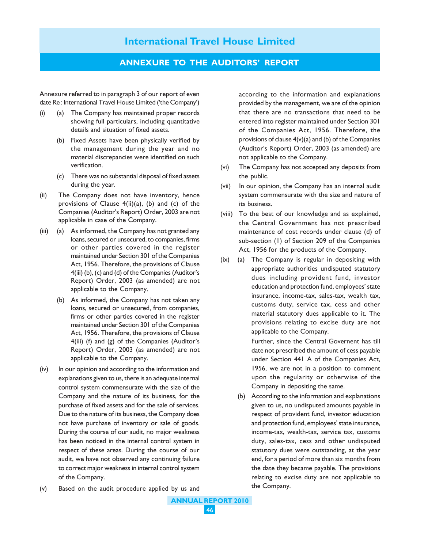## **ANNEXURE TO THE AUDITORS' REPORT**

Annexure referred to in paragraph 3 of our report of even date Re : International Travel House Limited ('the Company')

- (i) (a) The Company has maintained proper records showing full particulars, including quantitative details and situation of fixed assets.
	- (b) Fixed Assets have been physically verified by the management during the year and no material discrepancies were identified on such verification.
	- (c) There was no substantial disposal of fixed assets during the year.
- (ii) The Company does not have inventory, hence provisions of Clause  $4(ii)(a)$ , (b) and (c) of the Companies (Auditor's Report) Order, 2003 are not applicable in case of the Company.
- (iii) (a) As informed, the Company has not granted any loans, secured or unsecured, to companies, firms or other parties covered in the register maintained under Section 301 of the Companies Act, 1956. Therefore, the provisions of Clause 4(iii) (b), (c) and (d) of the Companies (Auditor's Report) Order, 2003 (as amended) are not applicable to the Company.
	- (b) As informed, the Company has not taken any loans, secured or unsecured, from companies, firms or other parties covered in the register maintained under Section 301 of the Companies Act, 1956. Therefore, the provisions of Clause 4(iii) (f) and (g) of the Companies (Auditor's Report) Order, 2003 (as amended) are not applicable to the Company.
- (iv) In our opinion and according to the information and explanations given to us, there is an adequate internal control system commensurate with the size of the Company and the nature of its business, for the purchase of fixed assets and for the sale of services. Due to the nature of its business, the Company does not have purchase of inventory or sale of goods. During the course of our audit, no major weakness has been noticed in the internal control system in respect of these areas. During the course of our audit, we have not observed any continuing failure to correct major weakness in internal control system of the Company.

according to the information and explanations provided by the management, we are of the opinion that there are no transactions that need to be entered into register maintained under Section 301 of the Companies Act, 1956. Therefore, the provisions of clause 4(v)(a) and (b) of the Companies (Auditor's Report) Order, 2003 (as amended) are not applicable to the Company.

- (vi) The Company has not accepted any deposits from the public.
- (vii) In our opinion, the Company has an internal audit system commensurate with the size and nature of its business.
- (viii) To the best of our knowledge and as explained, the Central Government has not prescribed maintenance of cost records under clause (d) of sub-section (1) of Section 209 of the Companies Act, 1956 for the products of the Company.
- (ix) (a) The Company is regular in depositing with appropriate authorities undisputed statutory dues including provident fund, investor education and protection fund, employees' state insurance, income-tax, sales-tax, wealth tax, customs duty, service tax, cess and other material statutory dues applicable to it. The provisions relating to excise duty are not applicable to the Company.

Further, since the Central Governent has till date not prescribed the amount of cess payable under Section 441 A of the Companies Act, 1956, we are not in a position to comment upon the regularity or otherwise of the Company in depositing the same.

- (b) According to the information and explanations given to us, no undisputed amounts payable in respect of provident fund, investor education and protection fund, employees' state insurance, income-tax, wealth-tax, service tax, customs duty, sales-tax, cess and other undisputed statutory dues were outstanding, at the year end, for a period of more than six months from the date they became payable. The provisions relating to excise duty are not applicable to the Company.
- (v) Based on the audit procedure applied by us and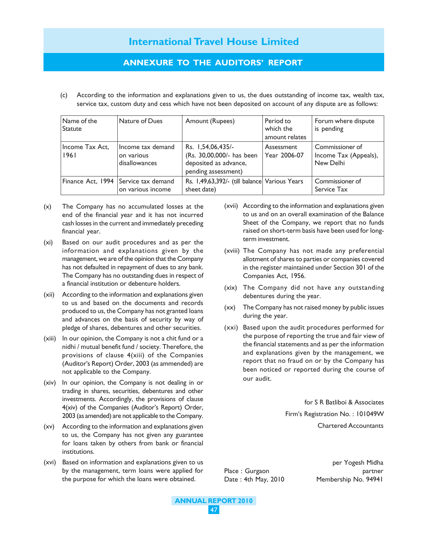# **ANNEXURE TO THE AUDITORS' REPORT**

(c) According to the information and explanations given to us, the dues outstanding of income tax, wealth tax, service tax, custom duty and cess which have not been deposited on account of any dispute are as follows:

| Name of the<br><b>Statute</b> | Nature of Dues                                            | Amount (Rupees)                                                                                | Period to<br>which the<br>amount relates | Forum where dispute<br>is pending                     |
|-------------------------------|-----------------------------------------------------------|------------------------------------------------------------------------------------------------|------------------------------------------|-------------------------------------------------------|
| Income Tax Act,<br>1961       | Income tax demand<br>on various<br>disallowances          | Rs. 1,54,06,435/-<br>(Rs. 30,00,000/- has been<br>deposited as advance,<br>pending assessment) | Assessment<br>Year 2006-07               | Commissioner of<br>Income Tax (Appeals),<br>New Delhi |
|                               | Finance Act, 1994 Service tax demand<br>on various income | Rs. 1,49,63,392/- (till balance Various Years<br>sheet date)                                   |                                          | Commissioner of<br>Service Tax                        |

- (x) The Company has no accumulated losses at the end of the financial year and it has not incurred cash losses in the current and immediately preceding financial year.
- (xi) Based on our audit procedures and as per the information and explanations given by the management, we are of the opinion that the Company has not defaulted in repayment of dues to any bank. The Company has no outstanding dues in respect of a financial institution or debenture holders.
- (xii) According to the information and explanations given to us and based on the documents and records produced to us, the Company has not granted loans and advances on the basis of security by way of pledge of shares, debentures and other securities.
- (xiii) In our opinion, the Company is not a chit fund or a nidhi / mutual benefit fund / society. Therefore, the provisions of clause 4(xiii) of the Companies (Auditor's Report) Order, 2003 (as ammended) are not applicable to the Company.
- (xiv) In our opinion, the Company is not dealing in or trading in shares, securities, debentures and other investments. Accordingly, the provisions of clause 4(xiv) of the Companies (Auditor's Report) Order, 2003 (as amended) are not applicable to the Company.
- (xv) According to the information and explanations given to us, the Company has not given any guarantee for loans taken by others from bank or financial institutions.
- (xvi) Based on information and explanations given to us by the management, term loans were applied for the purpose for which the loans were obtained.
- (xvii) According to the information and explanations given to us and on an overall examination of the Balance Sheet of the Company, we report that no funds raised on short-term basis have been used for longterm investment.
- (xviii) The Company has not made any preferential allotment of shares to parties or companies covered in the register maintained under Section 301 of the Companies Act, 1956.
- (xix) The Company did not have any outstanding debentures during the year.
- (xx) The Company has not raised money by public issues during the year.
- (xxi) Based upon the audit procedures performed for the purpose of reporting the true and fair view of the financial statements and as per the information and explanations given by the management, we report that no fraud on or by the Company has been noticed or reported during the course of our audit.

for S R Batliboi & Associates Firm's Registration No. : 101049W Chartered Accountants

per Yogesh Midha Place : Gurgaon partner Date : 4th May, 2010 Membership No. 94941

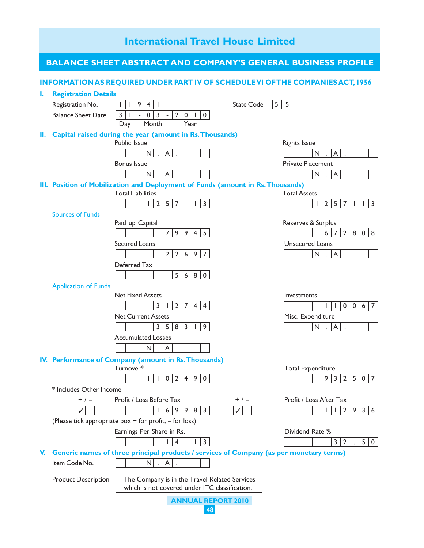# **International Travel House Limited ANNUAL REPORT 2010** 48 **BALANCE SHEET ABSTRACT AND COMPANY'S GENERAL BUSINESS PROFILE INFORMATION AS REQUIRED UNDER PART IV OF SCHEDULE VI OF THE COMPANIES ACT, 1956 I. Registration Details** Registration No. 1 1941 State Code 5 5 Balance Sheet Date 3 | 1 | - | 0 | 3 | - | 2 | 0 | 1 | 0 Day Month Year **II. Capital raised during the year (amount in Rs. Thousands)** Public Issue **Public Issue Rights** Issue N.A. N.A. Bonus Issue **Private Placement**  $N|\cdot|A|\cdot|$   $|\cdot|$   $|\cdot|$   $|\cdot|$   $|\cdot|$   $|\cdot|$   $|\cdot|$   $|\cdot|$   $|\cdot|$   $|\cdot|$   $|\cdot|$   $|\cdot|$   $|\cdot|$   $|\cdot|$   $|\cdot|$   $|\cdot|$ **III. Position of Mobilization and Deployment of Funds (amount in Rs. Thousands)** Total Liabilities Total Assets  $1|2|5|7|1|1|3$   $|1|2|5|7|1|1|3$ Sources of Funds Paid up Capital **Paid up Capital** Reserves & Surplus 79945 11672808 Secured Loans **Secured Loans**  $2|2|6|9|7$  N.A. Deferred Tax  $5|6|8|0$ Application of Funds Net Fixed Assets **Investments**  $3|1|2|7|4|4$   $||1||1|0|0|6|7$ Net Current Assets **Misc.** Expenditure 358319 N.A. Accumulated Losses  $|N|$ .  $|A|$ . **IV. Performance of Company (amount in Rs. Thousands)** Turnover\* Total Expenditure 1102490 932507 \* Includes Other Income + / – Profit / Loss Before Tax + / – Profit / Loss After Tax 169983 112936 3 3(Please tick appropriate box + for profit, – for loss) Earnings Per Share in Rs. **Earnings Per Share in Rs.** Dividend Rate %  $1|4|$ .  $|1|3$ **V. Generic names of three principal products / services of Company (as per monetary terms)** Item Code No.  $\parallel$   $\parallel$   $\parallel$  N  $\parallel$  A Product Description | The Company is in the Travel Related Services which is not covered under ITC classification.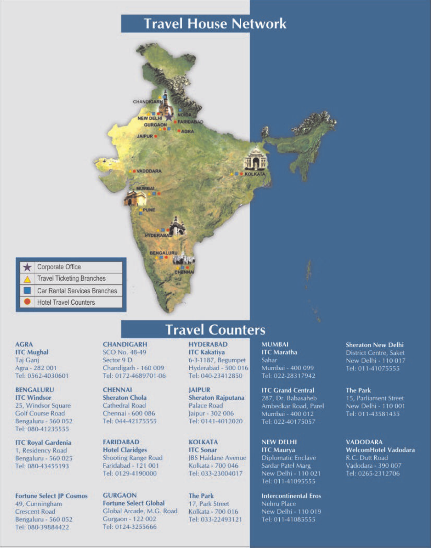# **Travel House Network**



#### **AGRA ITC Mughal** Taj Ganj Agra - 282 001 Tel: 0562-4030601

**BENGALURU ITC Windsor** 25. Windsor Square **Golf Course Road** Bengaluru - 560 052 Tel: 080-41235555

**ITC Royal Gardenia** 1, Residency Road Bengaluru - 560 025 Tel: 080-43455193

**Fortune Select JP Cosmos** 49, Cunningham **Crescent Road** Bengaluru - 560 052 Tel: 080-39884422

**CHANDIGARH** SCO No. 48-49 Sector 9 D Chandigarh - 160 009 Tel: 0172-4689701-06

**CHENNAL Sheraton Chola** Cathedral Road Chennai - 600 086 Tel: 044-42175555

**FARIDABAD Hotel Claridges** Shooting Range Road Faridabad - 121 001 Tel: 0129-4190000

**GURGAON Fortune Select Global** Global Arcade, M.G. Road Gurgaon - 122 002 Tel: 0124-3255666

**HYDERABAD ITC Kakatiya** 6-3-1187, Begumpet Hyderabad - 500 016 Tel: 040-23412850

**Travel Counters** 

**JAIPUR Sheraton Rajputana** Palace Road Jaipur - 302 006 Tel: 0141-4012020

**KOLKATA ITC Sonar IBS Haldane Avenue** Kolkata - 700 046 Tel: 033-23004017

**The Park** 17, Park Street Kolkata - 700 016 Tel: 033-22493121 **MUMBAI ITC** Maratha Sahar Mumbai - 400 099 Tel: 022-28317942

**ITC Grand Central** 287, Dr. Babasaheb Ambedkar Road, Parel Mumbai - 400 012 Tel: 022-40175057

**NEW DELHI ITC** Maurya **Diplomatic Enclave** Sardar Patel Marg New Delhi - 110 021 Tel: 011-41095555

**Intercontinental Eros** Nehru Place New Delhi - 110 019 Tel: 011-41085555

**Sheraton New Delhi District Centre, Saket** New Delhi - 110 017 Tel: 011-41075555

**The Park** 15, Parliament Street New Delhi - 110 001 Tel: 011-43581435

**VADODARA WelcomHotel Vadodara** R.C. Dutt Road Vadodara - 390 007 Tel: 0265-2312706